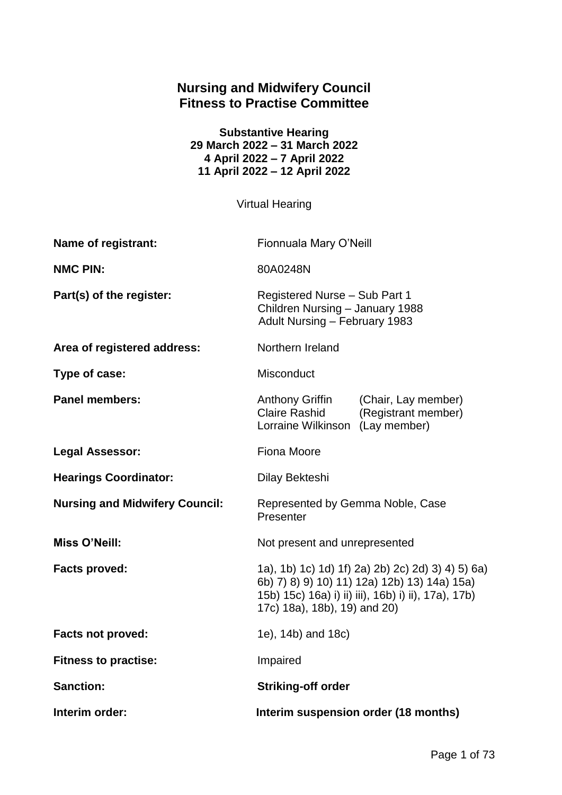# **Nursing and Midwifery Council Fitness to Practise Committee**

**Substantive Hearing 29 March 2022 – 31 March 2022 4 April 2022 – 7 April 2022 11 April 2022 – 12 April 2022**

Virtual Hearing

| Name of registrant:                   | Fionnuala Mary O'Neill                                                                                                                                                                   |  |
|---------------------------------------|------------------------------------------------------------------------------------------------------------------------------------------------------------------------------------------|--|
| <b>NMC PIN:</b>                       | 80A0248N                                                                                                                                                                                 |  |
| Part(s) of the register:              | Registered Nurse - Sub Part 1<br>Children Nursing - January 1988<br>Adult Nursing - February 1983                                                                                        |  |
| Area of registered address:           | Northern Ireland                                                                                                                                                                         |  |
| Type of case:                         | Misconduct                                                                                                                                                                               |  |
| <b>Panel members:</b>                 | <b>Anthony Griffin</b><br>(Chair, Lay member)<br><b>Claire Rashid</b><br>(Registrant member)<br>Lorraine Wilkinson<br>(Lay member)                                                       |  |
| <b>Legal Assessor:</b>                | <b>Fiona Moore</b>                                                                                                                                                                       |  |
| <b>Hearings Coordinator:</b>          | Dilay Bekteshi                                                                                                                                                                           |  |
| <b>Nursing and Midwifery Council:</b> | Represented by Gemma Noble, Case<br>Presenter                                                                                                                                            |  |
| <b>Miss O'Neill:</b>                  | Not present and unrepresented                                                                                                                                                            |  |
| <b>Facts proved:</b>                  | 1a), 1b) 1c) 1d) 1f) 2a) 2b) 2c) 2d) 3) 4) 5) 6a)<br>6b) 7) 8) 9) 10) 11) 12a) 12b) 13) 14a) 15a)<br>15b) 15c) 16a) i) ii) iii), 16b) i) ii), 17a), 17b)<br>17c) 18a), 18b), 19) and 20) |  |
| <b>Facts not proved:</b>              | 1e), 14b) and 18c)                                                                                                                                                                       |  |
| <b>Fitness to practise:</b>           | Impaired                                                                                                                                                                                 |  |
| <b>Sanction:</b>                      | <b>Striking-off order</b>                                                                                                                                                                |  |
| Interim order:                        | Interim suspension order (18 months)                                                                                                                                                     |  |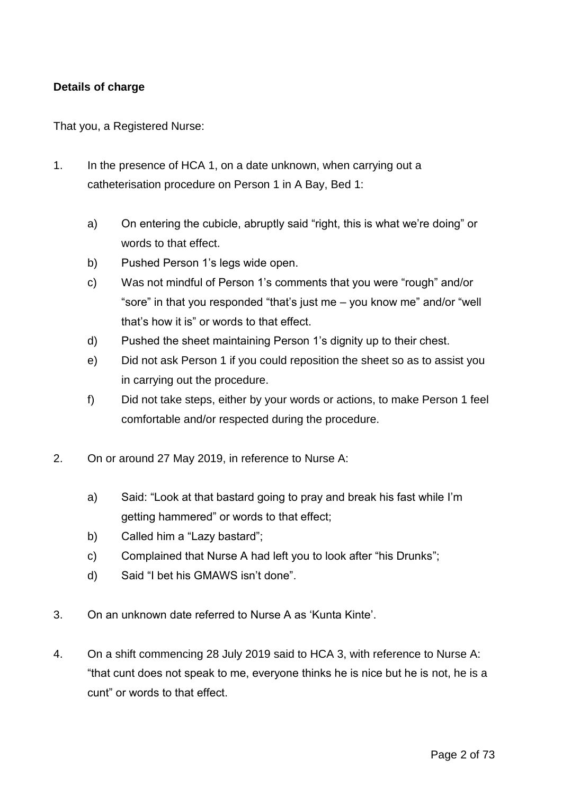### **Details of charge**

That you, a Registered Nurse:

- 1. In the presence of HCA 1, on a date unknown, when carrying out a catheterisation procedure on Person 1 in A Bay, Bed 1:
	- a) On entering the cubicle, abruptly said "right, this is what we're doing" or words to that effect.
	- b) Pushed Person 1's legs wide open.
	- c) Was not mindful of Person 1's comments that you were "rough" and/or "sore" in that you responded "that's just me – you know me" and/or "well that's how it is" or words to that effect.
	- d) Pushed the sheet maintaining Person 1's dignity up to their chest.
	- e) Did not ask Person 1 if you could reposition the sheet so as to assist you in carrying out the procedure.
	- f) Did not take steps, either by your words or actions, to make Person 1 feel comfortable and/or respected during the procedure.
- 2. On or around 27 May 2019, in reference to Nurse A:
	- a) Said: "Look at that bastard going to pray and break his fast while I'm getting hammered" or words to that effect;
	- b) Called him a "Lazy bastard";
	- c) Complained that Nurse A had left you to look after "his Drunks";
	- d) Said "I bet his GMAWS isn't done".
- 3. On an unknown date referred to Nurse A as 'Kunta Kinte'.
- 4. On a shift commencing 28 July 2019 said to HCA 3, with reference to Nurse A: "that cunt does not speak to me, everyone thinks he is nice but he is not, he is a cunt" or words to that effect.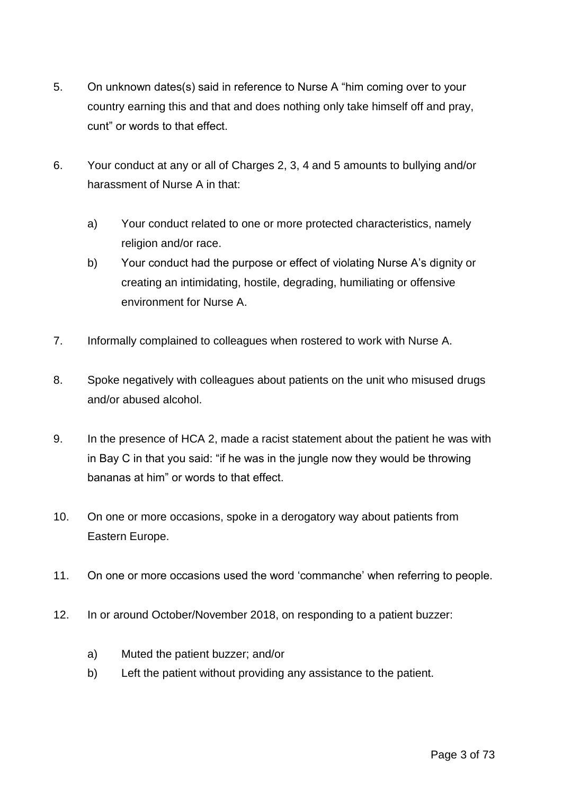- 5. On unknown dates(s) said in reference to Nurse A "him coming over to your country earning this and that and does nothing only take himself off and pray, cunt" or words to that effect.
- 6. Your conduct at any or all of Charges 2, 3, 4 and 5 amounts to bullying and/or harassment of Nurse A in that:
	- a) Your conduct related to one or more protected characteristics, namely religion and/or race.
	- b) Your conduct had the purpose or effect of violating Nurse A's dignity or creating an intimidating, hostile, degrading, humiliating or offensive environment for Nurse A.
- 7. Informally complained to colleagues when rostered to work with Nurse A.
- 8. Spoke negatively with colleagues about patients on the unit who misused drugs and/or abused alcohol.
- 9. In the presence of HCA 2, made a racist statement about the patient he was with in Bay C in that you said: "if he was in the jungle now they would be throwing bananas at him" or words to that effect.
- 10. On one or more occasions, spoke in a derogatory way about patients from Eastern Europe.
- 11. On one or more occasions used the word 'commanche' when referring to people.
- 12. In or around October/November 2018, on responding to a patient buzzer:
	- a) Muted the patient buzzer; and/or
	- b) Left the patient without providing any assistance to the patient.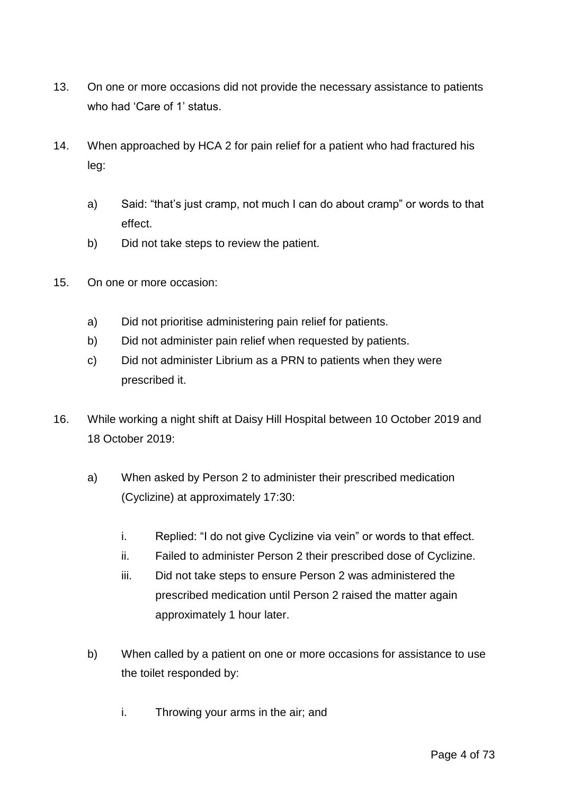- 13. On one or more occasions did not provide the necessary assistance to patients who had 'Care of 1' status.
- 14. When approached by HCA 2 for pain relief for a patient who had fractured his leg:
	- a) Said: "that's just cramp, not much I can do about cramp" or words to that effect.
	- b) Did not take steps to review the patient.
- 15. On one or more occasion:
	- a) Did not prioritise administering pain relief for patients.
	- b) Did not administer pain relief when requested by patients.
	- c) Did not administer Librium as a PRN to patients when they were prescribed it.
- 16. While working a night shift at Daisy Hill Hospital between 10 October 2019 and 18 October 2019:
	- a) When asked by Person 2 to administer their prescribed medication (Cyclizine) at approximately 17:30:
		- i. Replied: "I do not give Cyclizine via vein" or words to that effect.
		- ii. Failed to administer Person 2 their prescribed dose of Cyclizine.
		- iii. Did not take steps to ensure Person 2 was administered the prescribed medication until Person 2 raised the matter again approximately 1 hour later.
	- b) When called by a patient on one or more occasions for assistance to use the toilet responded by:
		- i. Throwing your arms in the air; and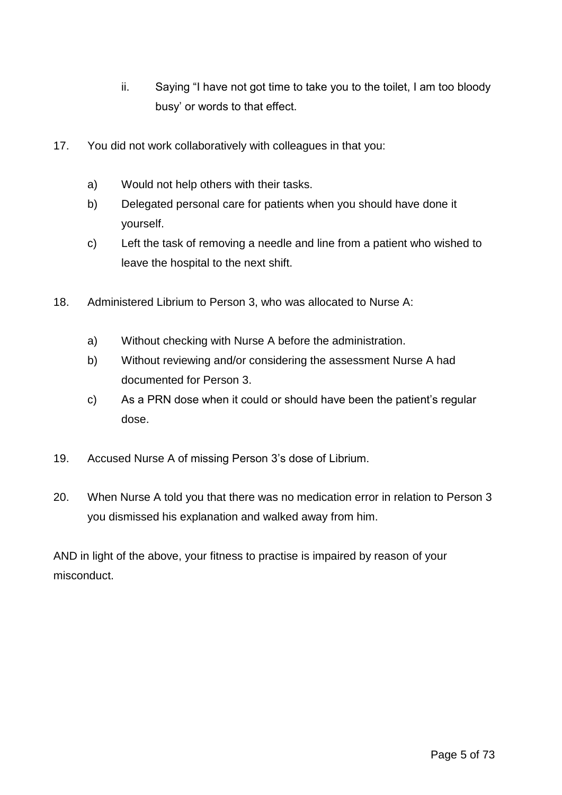- ii. Saying "I have not got time to take you to the toilet, I am too bloody busy' or words to that effect.
- 17. You did not work collaboratively with colleagues in that you:
	- a) Would not help others with their tasks.
	- b) Delegated personal care for patients when you should have done it yourself.
	- c) Left the task of removing a needle and line from a patient who wished to leave the hospital to the next shift.
- 18. Administered Librium to Person 3, who was allocated to Nurse A:
	- a) Without checking with Nurse A before the administration.
	- b) Without reviewing and/or considering the assessment Nurse A had documented for Person 3.
	- c) As a PRN dose when it could or should have been the patient's regular dose.
- 19. Accused Nurse A of missing Person 3's dose of Librium.
- 20. When Nurse A told you that there was no medication error in relation to Person 3 you dismissed his explanation and walked away from him.

AND in light of the above, your fitness to practise is impaired by reason of your misconduct.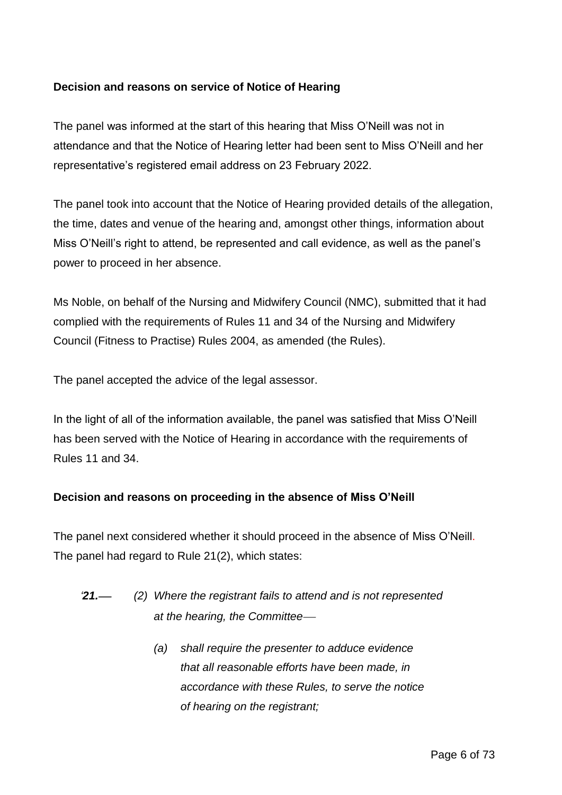### **Decision and reasons on service of Notice of Hearing**

The panel was informed at the start of this hearing that Miss O'Neill was not in attendance and that the Notice of Hearing letter had been sent to Miss O'Neill and her representative's registered email address on 23 February 2022.

The panel took into account that the Notice of Hearing provided details of the allegation, the time, dates and venue of the hearing and, amongst other things, information about Miss O'Neill's right to attend, be represented and call evidence, as well as the panel's power to proceed in her absence.

Ms Noble, on behalf of the Nursing and Midwifery Council (NMC), submitted that it had complied with the requirements of Rules 11 and 34 of the Nursing and Midwifery Council (Fitness to Practise) Rules 2004, as amended (the Rules).

The panel accepted the advice of the legal assessor.

In the light of all of the information available, the panel was satisfied that Miss O'Neill has been served with the Notice of Hearing in accordance with the requirements of Rules 11 and 34.

#### **Decision and reasons on proceeding in the absence of Miss O'Neill**

The panel next considered whether it should proceed in the absence of Miss O'Neill. The panel had regard to Rule 21(2), which states:

- *'21. (2) Where the registrant fails to attend and is not represented at the hearing, the Committee*
	- *(a) shall require the presenter to adduce evidence that all reasonable efforts have been made, in accordance with these Rules, to serve the notice of hearing on the registrant;*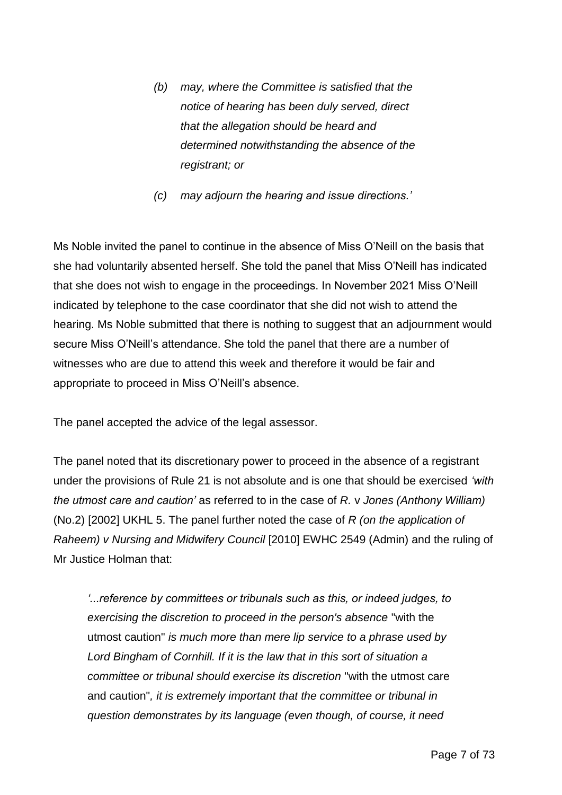- *(b) may, where the Committee is satisfied that the notice of hearing has been duly served, direct that the allegation should be heard and determined notwithstanding the absence of the registrant; or*
- *(c) may adjourn the hearing and issue directions.'*

Ms Noble invited the panel to continue in the absence of Miss O'Neill on the basis that she had voluntarily absented herself. She told the panel that Miss O'Neill has indicated that she does not wish to engage in the proceedings. In November 2021 Miss O'Neill indicated by telephone to the case coordinator that she did not wish to attend the hearing. Ms Noble submitted that there is nothing to suggest that an adjournment would secure Miss O'Neill's attendance. She told the panel that there are a number of witnesses who are due to attend this week and therefore it would be fair and appropriate to proceed in Miss O'Neill's absence.

The panel accepted the advice of the legal assessor.

The panel noted that its discretionary power to proceed in the absence of a registrant under the provisions of Rule 21 is not absolute and is one that should be exercised *'with the utmost care and caution'* as referred to in the case of *R.* v *Jones (Anthony William)* (No.2) [2002] UKHL 5. The panel further noted the case of *R (on the application of Raheem) v Nursing and Midwifery Council* [2010] EWHC 2549 (Admin) and the ruling of Mr Justice Holman that:

*'...reference by committees or tribunals such as this, or indeed judges, to exercising the discretion to proceed in the person's absence* "with the utmost caution" *is much more than mere lip service to a phrase used by Lord Bingham of Cornhill. If it is the law that in this sort of situation a committee or tribunal should exercise its discretion* "with the utmost care and caution"*, it is extremely important that the committee or tribunal in question demonstrates by its language (even though, of course, it need*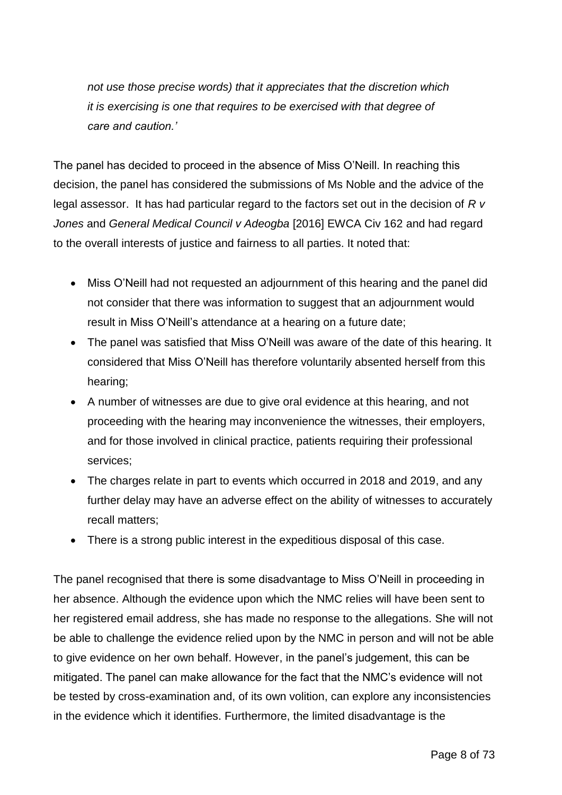*not use those precise words) that it appreciates that the discretion which it is exercising is one that requires to be exercised with that degree of care and caution.'*

The panel has decided to proceed in the absence of Miss O'Neill. In reaching this decision, the panel has considered the submissions of Ms Noble and the advice of the legal assessor. It has had particular regard to the factors set out in the decision of *R v Jones* and *General Medical Council v Adeogba* [2016] EWCA Civ 162 and had regard to the overall interests of justice and fairness to all parties. It noted that:

- Miss O'Neill had not requested an adjournment of this hearing and the panel did not consider that there was information to suggest that an adjournment would result in Miss O'Neill's attendance at a hearing on a future date;
- The panel was satisfied that Miss O'Neill was aware of the date of this hearing. It considered that Miss O'Neill has therefore voluntarily absented herself from this hearing;
- A number of witnesses are due to give oral evidence at this hearing, and not proceeding with the hearing may inconvenience the witnesses, their employers, and for those involved in clinical practice, patients requiring their professional services;
- The charges relate in part to events which occurred in 2018 and 2019, and any further delay may have an adverse effect on the ability of witnesses to accurately recall matters;
- There is a strong public interest in the expeditious disposal of this case.

The panel recognised that there is some disadvantage to Miss O'Neill in proceeding in her absence. Although the evidence upon which the NMC relies will have been sent to her registered email address, she has made no response to the allegations. She will not be able to challenge the evidence relied upon by the NMC in person and will not be able to give evidence on her own behalf. However, in the panel's judgement, this can be mitigated. The panel can make allowance for the fact that the NMC's evidence will not be tested by cross-examination and, of its own volition, can explore any inconsistencies in the evidence which it identifies. Furthermore, the limited disadvantage is the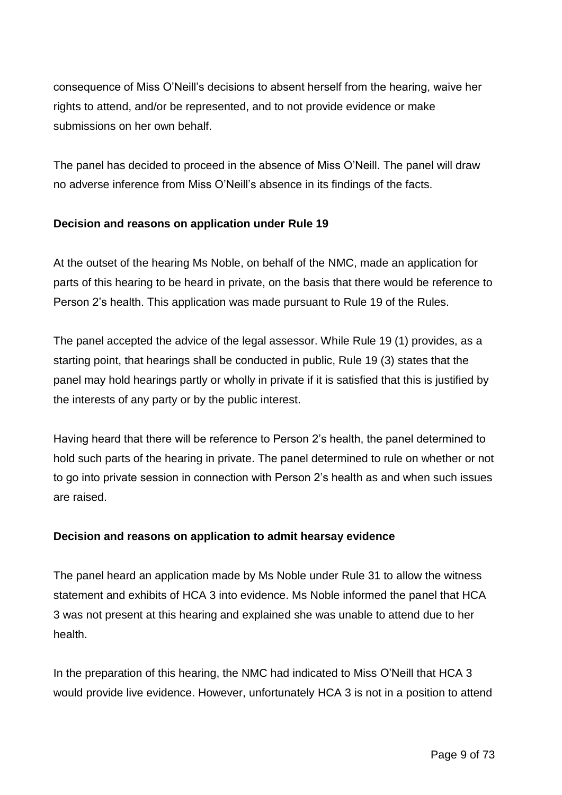consequence of Miss O'Neill's decisions to absent herself from the hearing, waive her rights to attend, and/or be represented, and to not provide evidence or make submissions on her own behalf.

The panel has decided to proceed in the absence of Miss O'Neill. The panel will draw no adverse inference from Miss O'Neill's absence in its findings of the facts.

### **Decision and reasons on application under Rule 19**

At the outset of the hearing Ms Noble, on behalf of the NMC, made an application for parts of this hearing to be heard in private, on the basis that there would be reference to Person 2's health. This application was made pursuant to Rule 19 of the Rules.

The panel accepted the advice of the legal assessor. While Rule 19 (1) provides, as a starting point, that hearings shall be conducted in public, Rule 19 (3) states that the panel may hold hearings partly or wholly in private if it is satisfied that this is justified by the interests of any party or by the public interest.

Having heard that there will be reference to Person 2's health, the panel determined to hold such parts of the hearing in private. The panel determined to rule on whether or not to go into private session in connection with Person 2's health as and when such issues are raised.

### **Decision and reasons on application to admit hearsay evidence**

The panel heard an application made by Ms Noble under Rule 31 to allow the witness statement and exhibits of HCA 3 into evidence. Ms Noble informed the panel that HCA 3 was not present at this hearing and explained she was unable to attend due to her health.

In the preparation of this hearing, the NMC had indicated to Miss O'Neill that HCA 3 would provide live evidence. However, unfortunately HCA 3 is not in a position to attend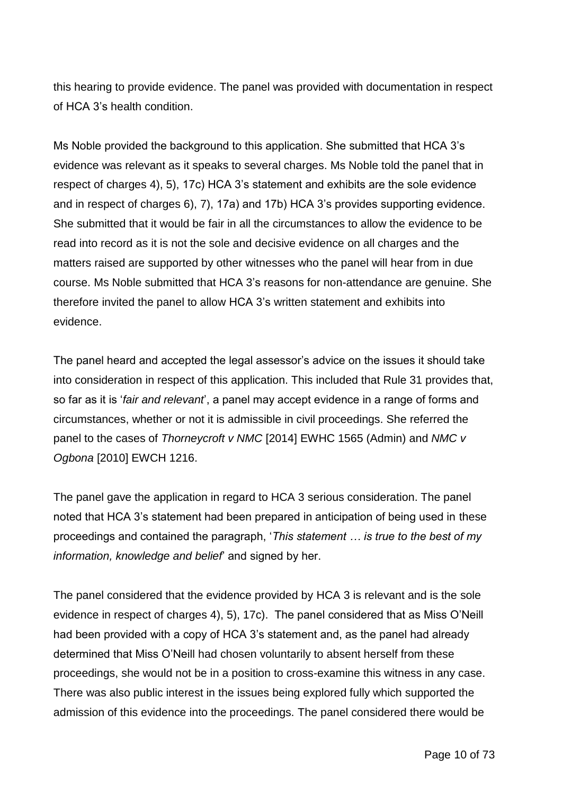this hearing to provide evidence. The panel was provided with documentation in respect of HCA 3's health condition.

Ms Noble provided the background to this application. She submitted that HCA 3's evidence was relevant as it speaks to several charges. Ms Noble told the panel that in respect of charges 4), 5), 17c) HCA 3's statement and exhibits are the sole evidence and in respect of charges 6), 7), 17a) and 17b) HCA 3's provides supporting evidence. She submitted that it would be fair in all the circumstances to allow the evidence to be read into record as it is not the sole and decisive evidence on all charges and the matters raised are supported by other witnesses who the panel will hear from in due course. Ms Noble submitted that HCA 3's reasons for non-attendance are genuine. She therefore invited the panel to allow HCA 3's written statement and exhibits into evidence.

The panel heard and accepted the legal assessor's advice on the issues it should take into consideration in respect of this application. This included that Rule 31 provides that, so far as it is '*fair and relevant*', a panel may accept evidence in a range of forms and circumstances, whether or not it is admissible in civil proceedings. She referred the panel to the cases of *Thorneycroft v NMC* [2014] EWHC 1565 (Admin) and *NMC v Ogbona* [2010] EWCH 1216.

The panel gave the application in regard to HCA 3 serious consideration. The panel noted that HCA 3's statement had been prepared in anticipation of being used in these proceedings and contained the paragraph, '*This statement … is true to the best of my information, knowledge and belief*' and signed by her.

The panel considered that the evidence provided by HCA 3 is relevant and is the sole evidence in respect of charges 4), 5), 17c). The panel considered that as Miss O'Neill had been provided with a copy of HCA 3's statement and, as the panel had already determined that Miss O'Neill had chosen voluntarily to absent herself from these proceedings, she would not be in a position to cross-examine this witness in any case. There was also public interest in the issues being explored fully which supported the admission of this evidence into the proceedings. The panel considered there would be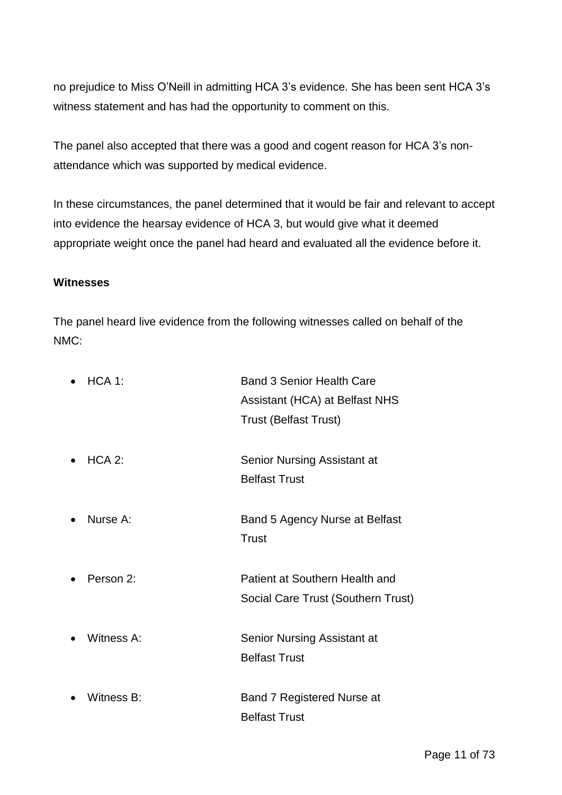no prejudice to Miss O'Neill in admitting HCA 3's evidence. She has been sent HCA 3's witness statement and has had the opportunity to comment on this.

The panel also accepted that there was a good and cogent reason for HCA 3's nonattendance which was supported by medical evidence.

In these circumstances, the panel determined that it would be fair and relevant to accept into evidence the hearsay evidence of HCA 3, but would give what it deemed appropriate weight once the panel had heard and evaluated all the evidence before it.

#### **Witnesses**

The panel heard live evidence from the following witnesses called on behalf of the NMC:

| HCA 1:     | <b>Band 3 Senior Health Care</b>                                     |
|------------|----------------------------------------------------------------------|
|            | Assistant (HCA) at Belfast NHS                                       |
|            | <b>Trust (Belfast Trust)</b>                                         |
| $HCA 2$ :  | Senior Nursing Assistant at                                          |
|            | <b>Belfast Trust</b>                                                 |
| Nurse A:   | Band 5 Agency Nurse at Belfast<br>Trust                              |
| Person 2:  | Patient at Southern Health and<br>Social Care Trust (Southern Trust) |
| Witness A: | <b>Senior Nursing Assistant at</b><br><b>Belfast Trust</b>           |
| Witness B: | Band 7 Registered Nurse at<br><b>Belfast Trust</b>                   |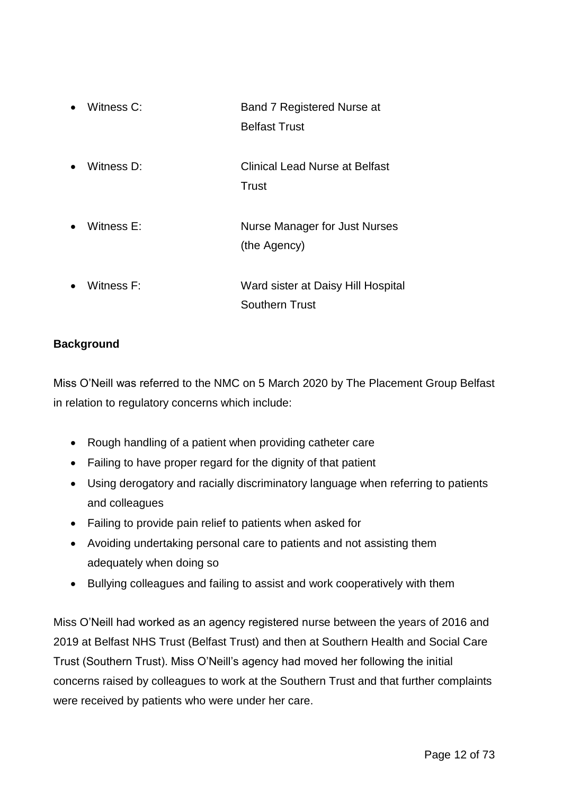| $\bullet$ | Witness C: | <b>Band 7 Registered Nurse at</b><br><b>Belfast Trust</b> |
|-----------|------------|-----------------------------------------------------------|
|           | Witness D: | <b>Clinical Lead Nurse at Belfast</b><br>Trust            |
|           | Witness E: | Nurse Manager for Just Nurses<br>(the Agency)             |
|           | Witness F: | Ward sister at Daisy Hill Hospital<br>Southern Trust      |

### **Background**

Miss O'Neill was referred to the NMC on 5 March 2020 by The Placement Group Belfast in relation to regulatory concerns which include:

- Rough handling of a patient when providing catheter care
- Failing to have proper regard for the dignity of that patient
- Using derogatory and racially discriminatory language when referring to patients and colleagues
- Failing to provide pain relief to patients when asked for
- Avoiding undertaking personal care to patients and not assisting them adequately when doing so
- Bullying colleagues and failing to assist and work cooperatively with them

Miss O'Neill had worked as an agency registered nurse between the years of 2016 and 2019 at Belfast NHS Trust (Belfast Trust) and then at Southern Health and Social Care Trust (Southern Trust). Miss O'Neill's agency had moved her following the initial concerns raised by colleagues to work at the Southern Trust and that further complaints were received by patients who were under her care.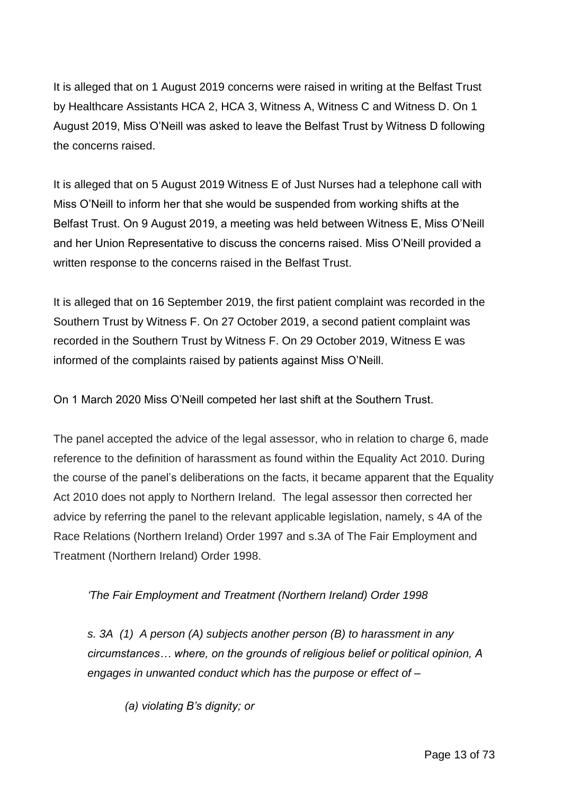It is alleged that on 1 August 2019 concerns were raised in writing at the Belfast Trust by Healthcare Assistants HCA 2, HCA 3, Witness A, Witness C and Witness D. On 1 August 2019, Miss O'Neill was asked to leave the Belfast Trust by Witness D following the concerns raised.

It is alleged that on 5 August 2019 Witness E of Just Nurses had a telephone call with Miss O'Neill to inform her that she would be suspended from working shifts at the Belfast Trust. On 9 August 2019, a meeting was held between Witness E, Miss O'Neill and her Union Representative to discuss the concerns raised. Miss O'Neill provided a written response to the concerns raised in the Belfast Trust.

It is alleged that on 16 September 2019, the first patient complaint was recorded in the Southern Trust by Witness F. On 27 October 2019, a second patient complaint was recorded in the Southern Trust by Witness F. On 29 October 2019, Witness E was informed of the complaints raised by patients against Miss O'Neill.

On 1 March 2020 Miss O'Neill competed her last shift at the Southern Trust.

The panel accepted the advice of the legal assessor, who in relation to charge 6, made reference to the definition of harassment as found within the Equality Act 2010. During the course of the panel's deliberations on the facts, it became apparent that the Equality Act 2010 does not apply to Northern Ireland. The legal assessor then corrected her advice by referring the panel to the relevant applicable legislation, namely, s 4A of the Race Relations (Northern Ireland) Order 1997 and s.3A of The Fair Employment and Treatment (Northern Ireland) Order 1998.

## *'The Fair Employment and Treatment (Northern Ireland) Order 1998*

*s. 3A (1) A person (A) subjects another person (B) to harassment in any circumstances… where, on the grounds of religious belief or political opinion, A engages in unwanted conduct which has the purpose or effect of –*

*(a) violating B's dignity; or*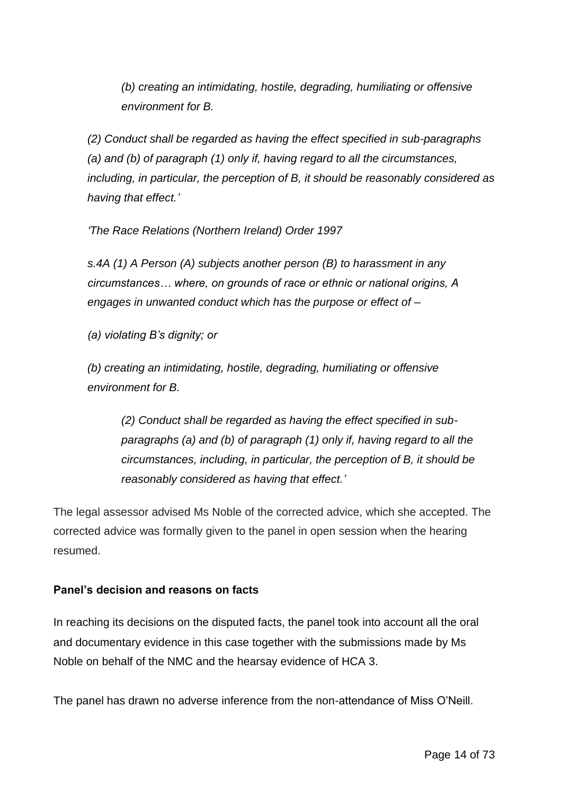*(b) creating an intimidating, hostile, degrading, humiliating or offensive environment for B.*

*(2) Conduct shall be regarded as having the effect specified in sub-paragraphs (a) and (b) of paragraph (1) only if, having regard to all the circumstances, including, in particular, the perception of B, it should be reasonably considered as having that effect.'*

*'The Race Relations (Northern Ireland) Order 1997*

*s.4A (1) A Person (A) subjects another person (B) to harassment in any circumstances… where, on grounds of race or ethnic or national origins, A engages in unwanted conduct which has the purpose or effect of –*

*(a) violating B's dignity; or*

*(b) creating an intimidating, hostile, degrading, humiliating or offensive environment for B.*

*(2) Conduct shall be regarded as having the effect specified in subparagraphs (a) and (b) of paragraph (1) only if, having regard to all the circumstances, including, in particular, the perception of B, it should be reasonably considered as having that effect.'*

The legal assessor advised Ms Noble of the corrected advice, which she accepted. The corrected advice was formally given to the panel in open session when the hearing resumed.

### **Panel's decision and reasons on facts**

In reaching its decisions on the disputed facts, the panel took into account all the oral and documentary evidence in this case together with the submissions made by Ms Noble on behalf of the NMC and the hearsay evidence of HCA 3.

The panel has drawn no adverse inference from the non-attendance of Miss O'Neill.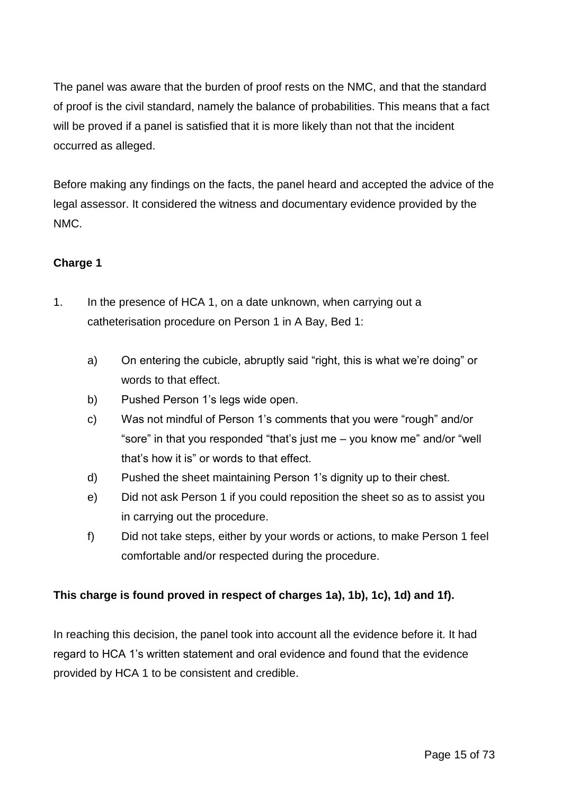The panel was aware that the burden of proof rests on the NMC, and that the standard of proof is the civil standard, namely the balance of probabilities. This means that a fact will be proved if a panel is satisfied that it is more likely than not that the incident occurred as alleged.

Before making any findings on the facts, the panel heard and accepted the advice of the legal assessor. It considered the witness and documentary evidence provided by the NMC.

## **Charge 1**

- 1. In the presence of HCA 1, on a date unknown, when carrying out a catheterisation procedure on Person 1 in A Bay, Bed 1:
	- a) On entering the cubicle, abruptly said "right, this is what we're doing" or words to that effect.
	- b) Pushed Person 1's legs wide open.
	- c) Was not mindful of Person 1's comments that you were "rough" and/or "sore" in that you responded "that's just me – you know me" and/or "well that's how it is" or words to that effect.
	- d) Pushed the sheet maintaining Person 1's dignity up to their chest.
	- e) Did not ask Person 1 if you could reposition the sheet so as to assist you in carrying out the procedure.
	- f) Did not take steps, either by your words or actions, to make Person 1 feel comfortable and/or respected during the procedure.

## **This charge is found proved in respect of charges 1a), 1b), 1c), 1d) and 1f).**

In reaching this decision, the panel took into account all the evidence before it. It had regard to HCA 1's written statement and oral evidence and found that the evidence provided by HCA 1 to be consistent and credible.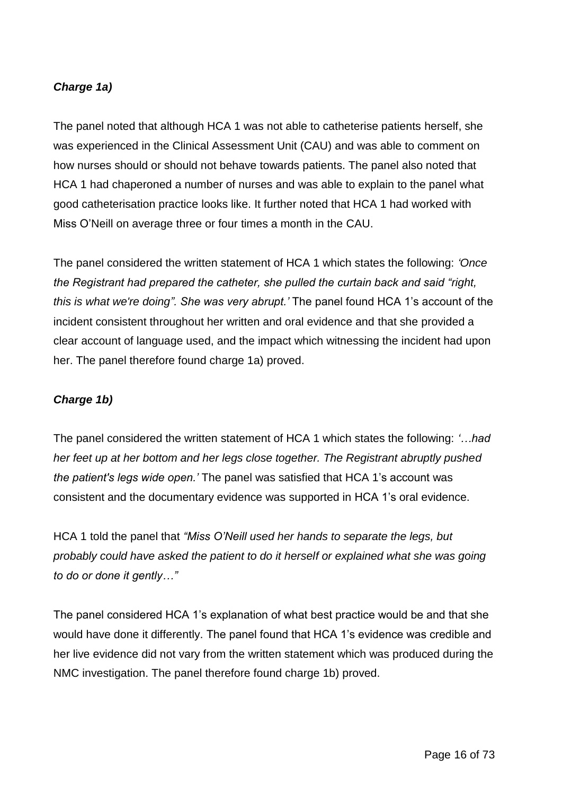### *Charge 1a)*

The panel noted that although HCA 1 was not able to catheterise patients herself, she was experienced in the Clinical Assessment Unit (CAU) and was able to comment on how nurses should or should not behave towards patients. The panel also noted that HCA 1 had chaperoned a number of nurses and was able to explain to the panel what good catheterisation practice looks like. It further noted that HCA 1 had worked with Miss O'Neill on average three or four times a month in the CAU.

The panel considered the written statement of HCA 1 which states the following: *'Once the Registrant had prepared the catheter, she pulled the curtain back and said "right, this is what we're doing". She was very abrupt.'* The panel found HCA 1's account of the incident consistent throughout her written and oral evidence and that she provided a clear account of language used, and the impact which witnessing the incident had upon her. The panel therefore found charge 1a) proved.

### *Charge 1b)*

The panel considered the written statement of HCA 1 which states the following: *'…had her feet up at her bottom and her legs close together. The Registrant abruptly pushed the patient's legs wide open.'* The panel was satisfied that HCA 1's account was consistent and the documentary evidence was supported in HCA 1's oral evidence.

HCA 1 told the panel that *"Miss O'Neill used her hands to separate the legs, but probably could have asked the patient to do it herself or explained what she was going to do or done it gently…"*

The panel considered HCA 1's explanation of what best practice would be and that she would have done it differently. The panel found that HCA 1's evidence was credible and her live evidence did not vary from the written statement which was produced during the NMC investigation. The panel therefore found charge 1b) proved.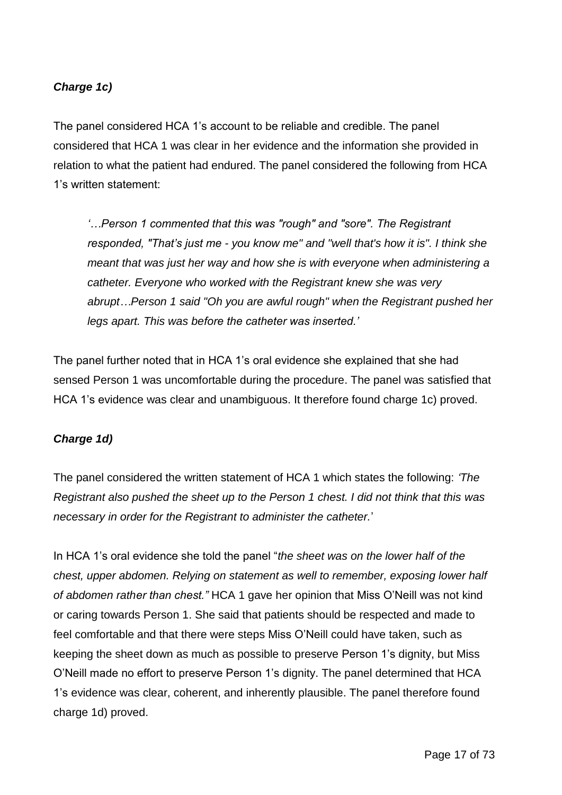### *Charge 1c)*

The panel considered HCA 1's account to be reliable and credible. The panel considered that HCA 1 was clear in her evidence and the information she provided in relation to what the patient had endured. The panel considered the following from HCA 1's written statement:

*'…Person 1 commented that this was "rough" and "sore". The Registrant responded, "That's just me - you know me" and "well that's how it is". I think she meant that was just her way and how she is with everyone when administering a catheter. Everyone who worked with the Registrant knew she was very abrupt…Person 1 said "Oh you are awful rough" when the Registrant pushed her legs apart. This was before the catheter was inserted.'*

The panel further noted that in HCA 1's oral evidence she explained that she had sensed Person 1 was uncomfortable during the procedure. The panel was satisfied that HCA 1's evidence was clear and unambiguous. It therefore found charge 1c) proved.

### *Charge 1d)*

The panel considered the written statement of HCA 1 which states the following: *'The Registrant also pushed the sheet up to the Person 1 chest. I did not think that this was necessary in order for the Registrant to administer the catheter.*'

In HCA 1's oral evidence she told the panel "*the sheet was on the lower half of the chest, upper abdomen. Relying on statement as well to remember, exposing lower half of abdomen rather than chest."* HCA 1 gave her opinion that Miss O'Neill was not kind or caring towards Person 1. She said that patients should be respected and made to feel comfortable and that there were steps Miss O'Neill could have taken, such as keeping the sheet down as much as possible to preserve Person 1's dignity, but Miss O'Neill made no effort to preserve Person 1's dignity. The panel determined that HCA 1's evidence was clear, coherent, and inherently plausible. The panel therefore found charge 1d) proved.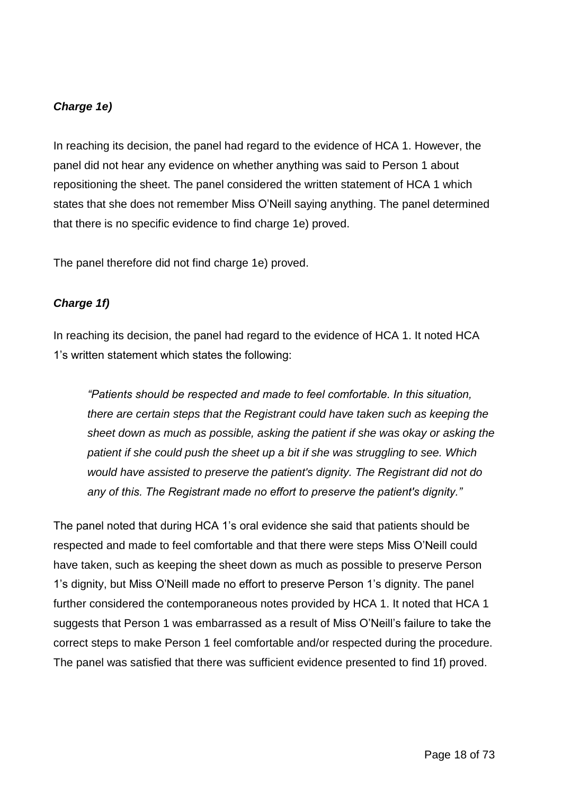#### *Charge 1e)*

In reaching its decision, the panel had regard to the evidence of HCA 1. However, the panel did not hear any evidence on whether anything was said to Person 1 about repositioning the sheet. The panel considered the written statement of HCA 1 which states that she does not remember Miss O'Neill saying anything. The panel determined that there is no specific evidence to find charge 1e) proved.

The panel therefore did not find charge 1e) proved.

#### *Charge 1f)*

In reaching its decision, the panel had regard to the evidence of HCA 1. It noted HCA 1's written statement which states the following:

*"Patients should be respected and made to feel comfortable. In this situation, there are certain steps that the Registrant could have taken such as keeping the sheet down as much as possible, asking the patient if she was okay or asking the patient if she could push the sheet up a bit if she was struggling to see. Which would have assisted to preserve the patient's dignity. The Registrant did not do any of this. The Registrant made no effort to preserve the patient's dignity."*

The panel noted that during HCA 1's oral evidence she said that patients should be respected and made to feel comfortable and that there were steps Miss O'Neill could have taken, such as keeping the sheet down as much as possible to preserve Person 1's dignity, but Miss O'Neill made no effort to preserve Person 1's dignity. The panel further considered the contemporaneous notes provided by HCA 1. It noted that HCA 1 suggests that Person 1 was embarrassed as a result of Miss O'Neill's failure to take the correct steps to make Person 1 feel comfortable and/or respected during the procedure. The panel was satisfied that there was sufficient evidence presented to find 1f) proved.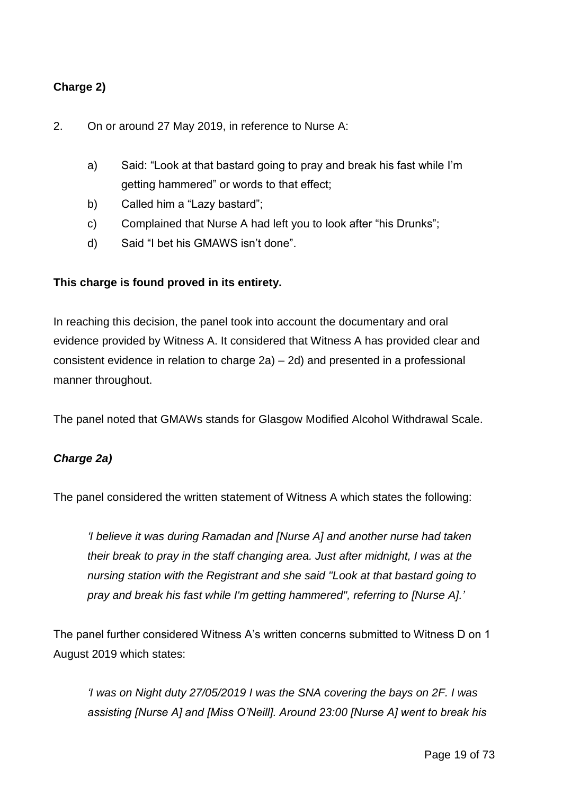### **Charge 2)**

#### 2. On or around 27 May 2019, in reference to Nurse A:

- a) Said: "Look at that bastard going to pray and break his fast while I'm getting hammered" or words to that effect;
- b) Called him a "Lazy bastard";
- c) Complained that Nurse A had left you to look after "his Drunks";
- d) Said "I bet his GMAWS isn't done".

#### **This charge is found proved in its entirety.**

In reaching this decision, the panel took into account the documentary and oral evidence provided by Witness A. It considered that Witness A has provided clear and consistent evidence in relation to charge 2a) – 2d) and presented in a professional manner throughout.

The panel noted that GMAWs stands for Glasgow Modified Alcohol Withdrawal Scale.

### *Charge 2a)*

The panel considered the written statement of Witness A which states the following:

*'I believe it was during Ramadan and [Nurse A] and another nurse had taken their break to pray in the staff changing area. Just after midnight, I was at the nursing station with the Registrant and she said "Look at that bastard going to pray and break his fast while I'm getting hammered", referring to [Nurse A].'*

The panel further considered Witness A's written concerns submitted to Witness D on 1 August 2019 which states:

*'I was on Night duty 27/05/2019 I was the SNA covering the bays on 2F. I was assisting [Nurse A] and [Miss O'Neill]. Around 23:00 [Nurse A] went to break his*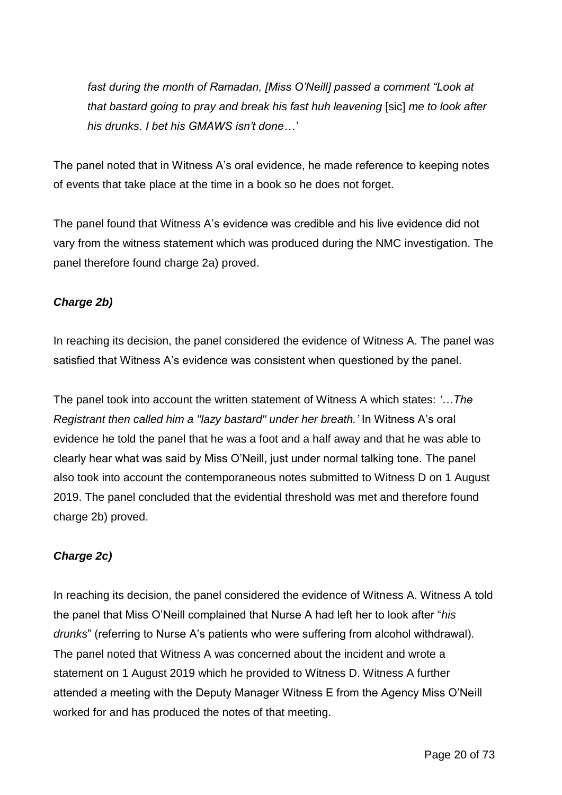*fast during the month of Ramadan, [Miss O'Neill] passed a comment "Look at that bastard going to pray and break his fast huh leavening* [sic] *me to look after his drunks. I bet his GMAWS isn't done…'*

The panel noted that in Witness A's oral evidence, he made reference to keeping notes of events that take place at the time in a book so he does not forget.

The panel found that Witness A's evidence was credible and his live evidence did not vary from the witness statement which was produced during the NMC investigation. The panel therefore found charge 2a) proved.

### *Charge 2b)*

In reaching its decision, the panel considered the evidence of Witness A. The panel was satisfied that Witness A's evidence was consistent when questioned by the panel.

The panel took into account the written statement of Witness A which states: *'…The Registrant then called him a "lazy bastard" under her breath.'* In Witness A's oral evidence he told the panel that he was a foot and a half away and that he was able to clearly hear what was said by Miss O'Neill, just under normal talking tone. The panel also took into account the contemporaneous notes submitted to Witness D on 1 August 2019. The panel concluded that the evidential threshold was met and therefore found charge 2b) proved.

### *Charge 2c)*

In reaching its decision, the panel considered the evidence of Witness A. Witness A told the panel that Miss O'Neill complained that Nurse A had left her to look after "*his drunks*" (referring to Nurse A's patients who were suffering from alcohol withdrawal). The panel noted that Witness A was concerned about the incident and wrote a statement on 1 August 2019 which he provided to Witness D. Witness A further attended a meeting with the Deputy Manager Witness E from the Agency Miss O'Neill worked for and has produced the notes of that meeting.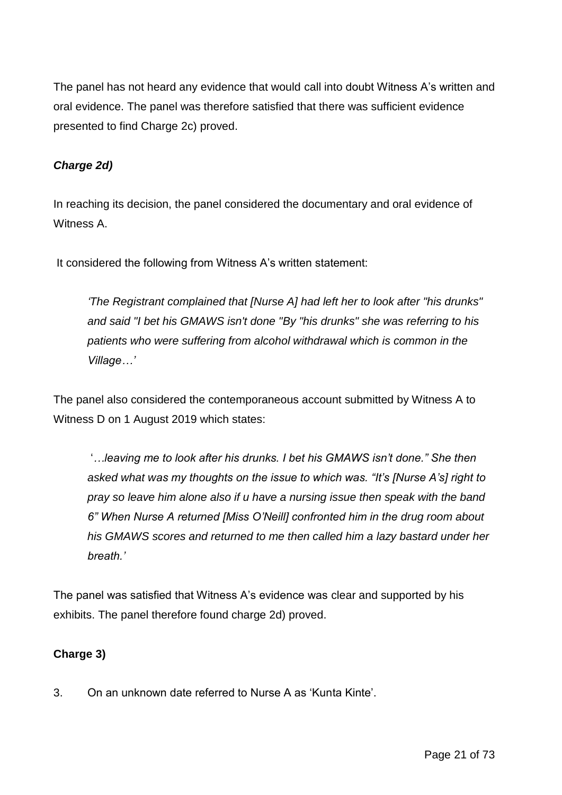The panel has not heard any evidence that would call into doubt Witness A's written and oral evidence. The panel was therefore satisfied that there was sufficient evidence presented to find Charge 2c) proved.

### *Charge 2d)*

In reaching its decision, the panel considered the documentary and oral evidence of Witness A.

It considered the following from Witness A's written statement:

*'The Registrant complained that [Nurse A] had left her to look after "his drunks" and said "I bet his GMAWS isn't done "By "his drunks" she was referring to his patients who were suffering from alcohol withdrawal which is common in the Village…'*

The panel also considered the contemporaneous account submitted by Witness A to Witness D on 1 August 2019 which states:

'*…leaving me to look after his drunks. I bet his GMAWS isn't done." She then asked what was my thoughts on the issue to which was. "It's [Nurse A's] right to pray so leave him alone also if u have a nursing issue then speak with the band 6" When Nurse A returned [Miss O'Neill] confronted him in the drug room about his GMAWS scores and returned to me then called him a lazy bastard under her breath.'*

The panel was satisfied that Witness A's evidence was clear and supported by his exhibits. The panel therefore found charge 2d) proved.

### **Charge 3)**

3. On an unknown date referred to Nurse A as 'Kunta Kinte'.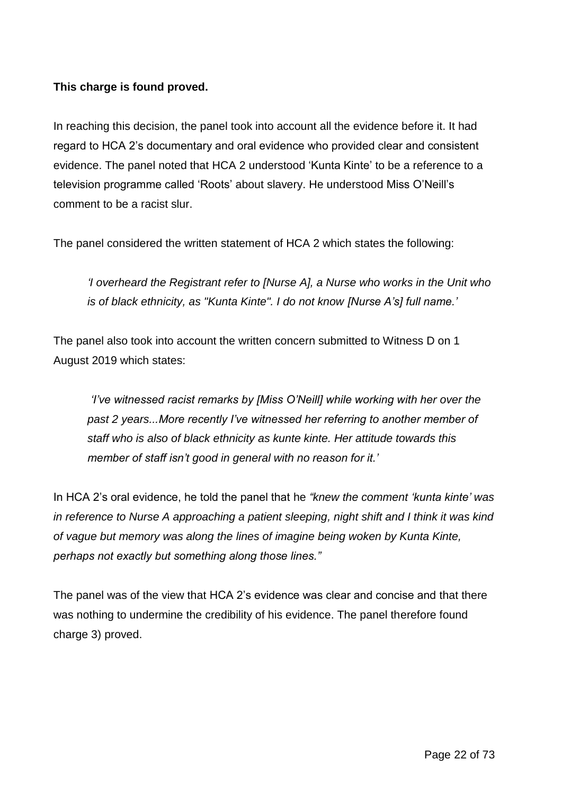### **This charge is found proved.**

In reaching this decision, the panel took into account all the evidence before it. It had regard to HCA 2's documentary and oral evidence who provided clear and consistent evidence. The panel noted that HCA 2 understood 'Kunta Kinte' to be a reference to a television programme called 'Roots' about slavery. He understood Miss O'Neill's comment to be a racist slur.

The panel considered the written statement of HCA 2 which states the following:

*'I overheard the Registrant refer to [Nurse A], a Nurse who works in the Unit who is of black ethnicity, as "Kunta Kinte". I do not know [Nurse A's] full name.'*

The panel also took into account the written concern submitted to Witness D on 1 August 2019 which states:

*'I've witnessed racist remarks by [Miss O'Neill] while working with her over the past 2 years...More recently I've witnessed her referring to another member of staff who is also of black ethnicity as kunte kinte. Her attitude towards this member of staff isn't good in general with no reason for it.'*

In HCA 2's oral evidence, he told the panel that he *"knew the comment 'kunta kinte' was in reference to Nurse A approaching a patient sleeping, night shift and I think it was kind of vague but memory was along the lines of imagine being woken by Kunta Kinte, perhaps not exactly but something along those lines."*

The panel was of the view that HCA 2's evidence was clear and concise and that there was nothing to undermine the credibility of his evidence. The panel therefore found charge 3) proved.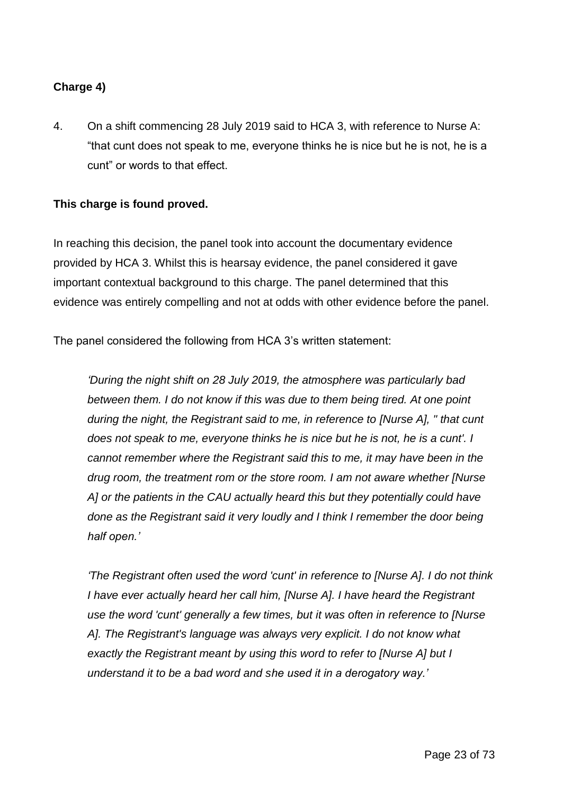### **Charge 4)**

4. On a shift commencing 28 July 2019 said to HCA 3, with reference to Nurse A: "that cunt does not speak to me, everyone thinks he is nice but he is not, he is a cunt" or words to that effect.

#### **This charge is found proved.**

In reaching this decision, the panel took into account the documentary evidence provided by HCA 3. Whilst this is hearsay evidence, the panel considered it gave important contextual background to this charge. The panel determined that this evidence was entirely compelling and not at odds with other evidence before the panel.

The panel considered the following from HCA 3's written statement:

*'During the night shift on 28 July 2019, the atmosphere was particularly bad between them. I do not know if this was due to them being tired. At one point during the night, the Registrant said to me, in reference to [Nurse A], " that cunt does not speak to me, everyone thinks he is nice but he is not, he is a cunt'. I cannot remember where the Registrant said this to me, it may have been in the drug room, the treatment rom or the store room. I am not aware whether [Nurse A] or the patients in the CAU actually heard this but they potentially could have done as the Registrant said it very loudly and I think I remember the door being half open.'*

*'The Registrant often used the word 'cunt' in reference to [Nurse A]. I do not think I have ever actually heard her call him, [Nurse A]. I have heard the Registrant use the word 'cunt' generally a few times, but it was often in reference to [Nurse A]. The Registrant's language was always very explicit. I do not know what exactly the Registrant meant by using this word to refer to [Nurse A] but I understand it to be a bad word and she used it in a derogatory way.'*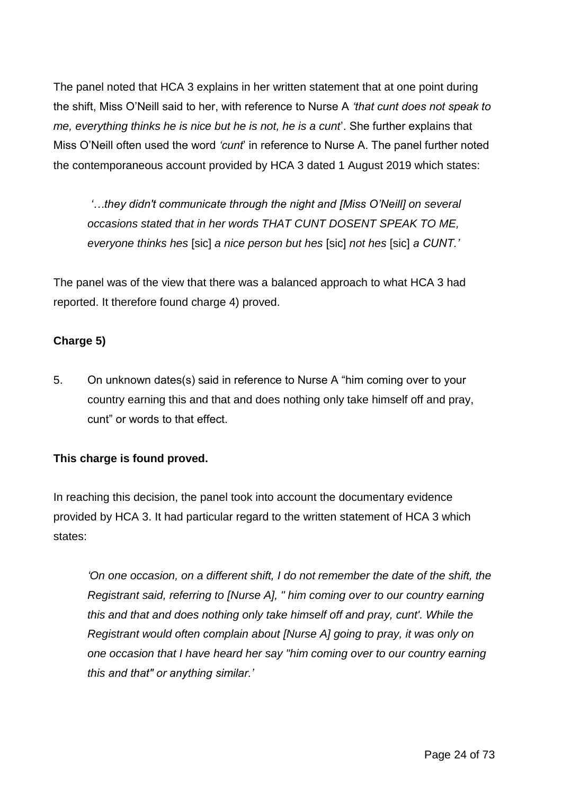The panel noted that HCA 3 explains in her written statement that at one point during the shift, Miss O'Neill said to her, with reference to Nurse A *'that cunt does not speak to me, everything thinks he is nice but he is not, he is a cunt*'. She further explains that Miss O'Neill often used the word *'cunt*' in reference to Nurse A. The panel further noted the contemporaneous account provided by HCA 3 dated 1 August 2019 which states:

*'…they didn't communicate through the night and [Miss O'Neill] on several occasions stated that in her words THAT CUNT DOSENT SPEAK TO ME, everyone thinks hes* [sic] *a nice person but hes* [sic] *not hes* [sic] *a CUNT.'*

The panel was of the view that there was a balanced approach to what HCA 3 had reported. It therefore found charge 4) proved.

### **Charge 5)**

5. On unknown dates(s) said in reference to Nurse A "him coming over to your country earning this and that and does nothing only take himself off and pray, cunt" or words to that effect.

## **This charge is found proved.**

In reaching this decision, the panel took into account the documentary evidence provided by HCA 3. It had particular regard to the written statement of HCA 3 which states:

*'On one occasion, on a different shift, I do not remember the date of the shift, the Registrant said, referring to [Nurse A], " him coming over to our country earning this and that and does nothing only take himself off and pray, cunt'. While the Registrant would often complain about [Nurse A] going to pray, it was only on one occasion that I have heard her say "him coming over to our country earning this and that" or anything similar.'*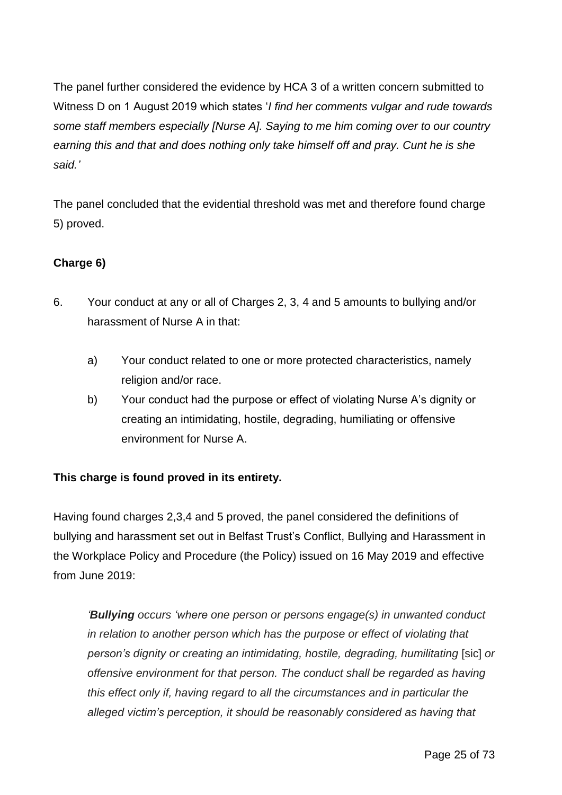The panel further considered the evidence by HCA 3 of a written concern submitted to Witness D on 1 August 2019 which states '*I find her comments vulgar and rude towards some staff members especially [Nurse A]. Saying to me him coming over to our country earning this and that and does nothing only take himself off and pray. Cunt he is she said.'*

The panel concluded that the evidential threshold was met and therefore found charge 5) proved.

## **Charge 6)**

- 6. Your conduct at any or all of Charges 2, 3, 4 and 5 amounts to bullying and/or harassment of Nurse A in that:
	- a) Your conduct related to one or more protected characteristics, namely religion and/or race.
	- b) Your conduct had the purpose or effect of violating Nurse A's dignity or creating an intimidating, hostile, degrading, humiliating or offensive environment for Nurse A.

### **This charge is found proved in its entirety.**

Having found charges 2,3,4 and 5 proved, the panel considered the definitions of bullying and harassment set out in Belfast Trust's Conflict, Bullying and Harassment in the Workplace Policy and Procedure (the Policy) issued on 16 May 2019 and effective from June 2019:

*'Bullying occurs 'where one person or persons engage(s) in unwanted conduct in relation to another person which has the purpose or effect of violating that person's dignity or creating an intimidating, hostile, degrading, humilitating* [sic] *or offensive environment for that person. The conduct shall be regarded as having this effect only if, having regard to all the circumstances and in particular the alleged victim's perception, it should be reasonably considered as having that*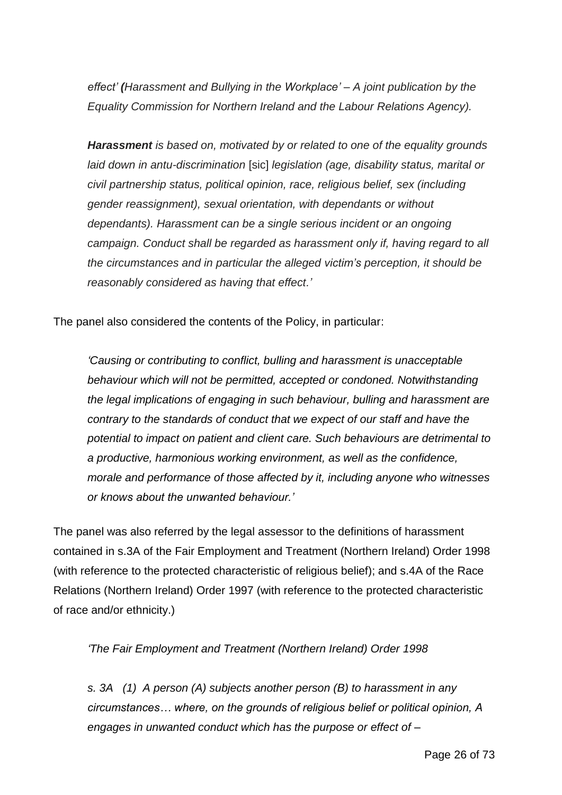*effect' (Harassment and Bullying in the Workplace' – A joint publication by the Equality Commission for Northern Ireland and the Labour Relations Agency).*

*Harassment is based on, motivated by or related to one of the equality grounds laid down in antu-discrimination* [sic] *legislation (age, disability status, marital or civil partnership status, political opinion, race, religious belief, sex (including gender reassignment), sexual orientation, with dependants or without dependants). Harassment can be a single serious incident or an ongoing campaign. Conduct shall be regarded as harassment only if, having regard to all the circumstances and in particular the alleged victim's perception, it should be reasonably considered as having that effect.'*

The panel also considered the contents of the Policy, in particular:

*'Causing or contributing to conflict, bulling and harassment is unacceptable behaviour which will not be permitted, accepted or condoned. Notwithstanding the legal implications of engaging in such behaviour, bulling and harassment are contrary to the standards of conduct that we expect of our staff and have the potential to impact on patient and client care. Such behaviours are detrimental to a productive, harmonious working environment, as well as the confidence, morale and performance of those affected by it, including anyone who witnesses or knows about the unwanted behaviour.'*

The panel was also referred by the legal assessor to the definitions of harassment contained in s.3A of the Fair Employment and Treatment (Northern Ireland) Order 1998 (with reference to the protected characteristic of religious belief); and s.4A of the Race Relations (Northern Ireland) Order 1997 (with reference to the protected characteristic of race and/or ethnicity.)

*'The Fair Employment and Treatment (Northern Ireland) Order 1998*

*s. 3A (1) A person (A) subjects another person (B) to harassment in any circumstances… where, on the grounds of religious belief or political opinion, A engages in unwanted conduct which has the purpose or effect of –*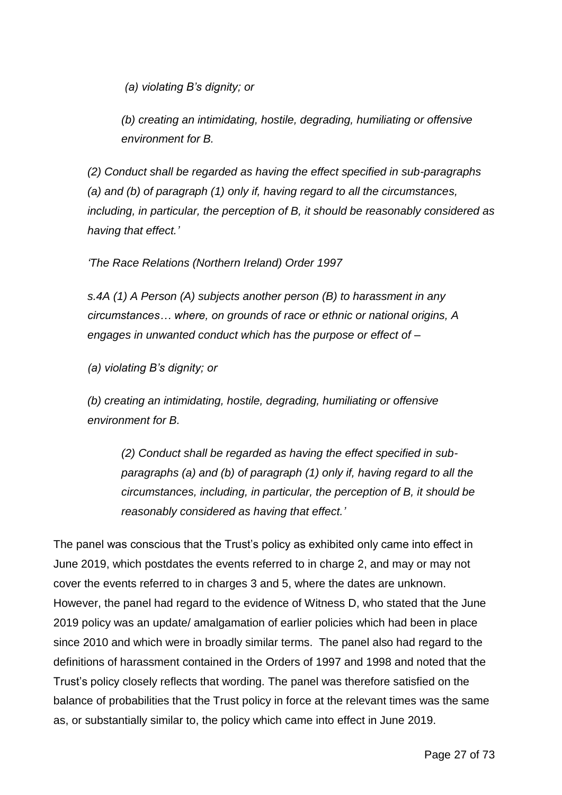*(a) violating B's dignity; or*

*(b) creating an intimidating, hostile, degrading, humiliating or offensive environment for B.*

*(2) Conduct shall be regarded as having the effect specified in sub-paragraphs (a) and (b) of paragraph (1) only if, having regard to all the circumstances, including, in particular, the perception of B, it should be reasonably considered as having that effect.'*

*'The Race Relations (Northern Ireland) Order 1997*

*s.4A (1) A Person (A) subjects another person (B) to harassment in any circumstances… where, on grounds of race or ethnic or national origins, A engages in unwanted conduct which has the purpose or effect of –*

*(a) violating B's dignity; or*

*(b) creating an intimidating, hostile, degrading, humiliating or offensive environment for B.*

*(2) Conduct shall be regarded as having the effect specified in subparagraphs (a) and (b) of paragraph (1) only if, having regard to all the circumstances, including, in particular, the perception of B, it should be reasonably considered as having that effect.'*

The panel was conscious that the Trust's policy as exhibited only came into effect in June 2019, which postdates the events referred to in charge 2, and may or may not cover the events referred to in charges 3 and 5, where the dates are unknown. However, the panel had regard to the evidence of Witness D, who stated that the June 2019 policy was an update/ amalgamation of earlier policies which had been in place since 2010 and which were in broadly similar terms. The panel also had regard to the definitions of harassment contained in the Orders of 1997 and 1998 and noted that the Trust's policy closely reflects that wording. The panel was therefore satisfied on the balance of probabilities that the Trust policy in force at the relevant times was the same as, or substantially similar to, the policy which came into effect in June 2019.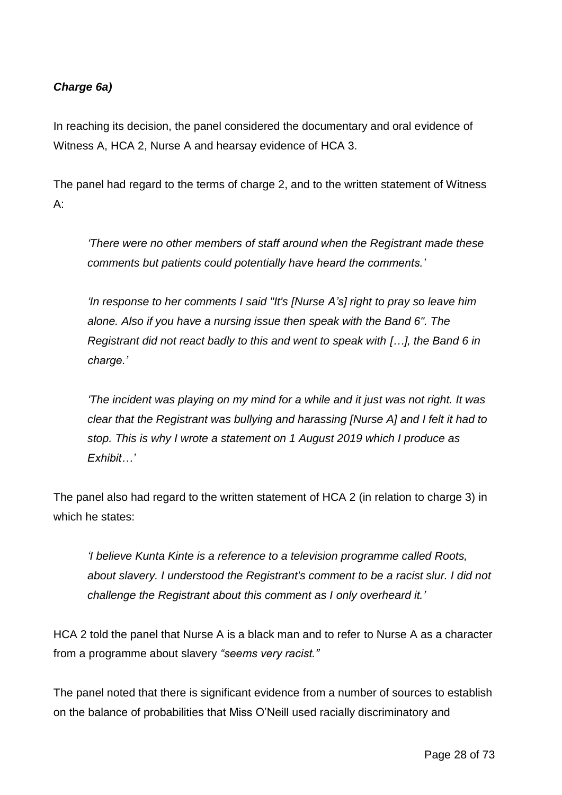### *Charge 6a)*

In reaching its decision, the panel considered the documentary and oral evidence of Witness A, HCA 2, Nurse A and hearsay evidence of HCA 3.

The panel had regard to the terms of charge 2, and to the written statement of Witness A:

*'There were no other members of staff around when the Registrant made these comments but patients could potentially have heard the comments.'*

*'In response to her comments I said "It's [Nurse A's] right to pray so leave him alone. Also if you have a nursing issue then speak with the Band 6". The Registrant did not react badly to this and went to speak with […], the Band 6 in charge.'*

*'The incident was playing on my mind for a while and it just was not right. It was clear that the Registrant was bullying and harassing [Nurse A] and I felt it had to stop. This is why I wrote a statement on 1 August 2019 which I produce as Exhibit…'*

The panel also had regard to the written statement of HCA 2 (in relation to charge 3) in which he states:

*'I believe Kunta Kinte is a reference to a television programme called Roots, about slavery. I understood the Registrant's comment to be a racist slur. I did not challenge the Registrant about this comment as I only overheard it.'*

HCA 2 told the panel that Nurse A is a black man and to refer to Nurse A as a character from a programme about slavery *"seems very racist."*

The panel noted that there is significant evidence from a number of sources to establish on the balance of probabilities that Miss O'Neill used racially discriminatory and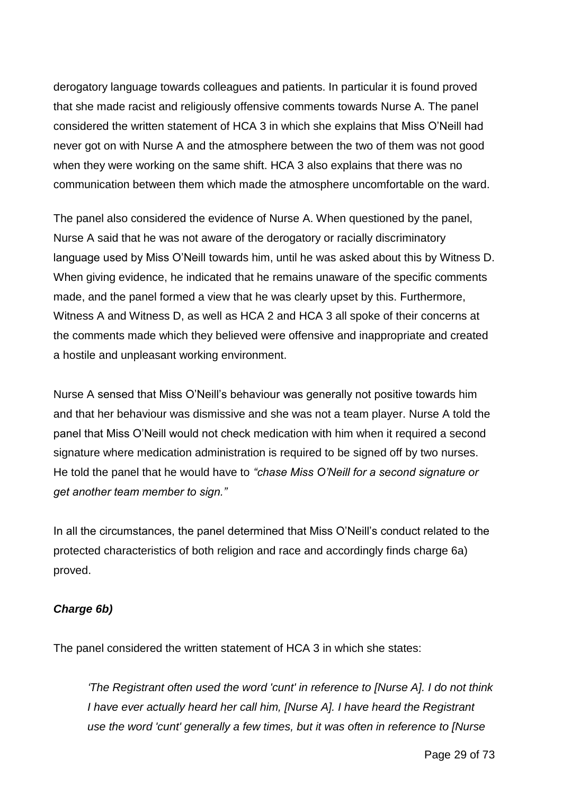derogatory language towards colleagues and patients. In particular it is found proved that she made racist and religiously offensive comments towards Nurse A. The panel considered the written statement of HCA 3 in which she explains that Miss O'Neill had never got on with Nurse A and the atmosphere between the two of them was not good when they were working on the same shift. HCA 3 also explains that there was no communication between them which made the atmosphere uncomfortable on the ward.

The panel also considered the evidence of Nurse A. When questioned by the panel, Nurse A said that he was not aware of the derogatory or racially discriminatory language used by Miss O'Neill towards him, until he was asked about this by Witness D. When giving evidence, he indicated that he remains unaware of the specific comments made, and the panel formed a view that he was clearly upset by this. Furthermore, Witness A and Witness D, as well as HCA 2 and HCA 3 all spoke of their concerns at the comments made which they believed were offensive and inappropriate and created a hostile and unpleasant working environment.

Nurse A sensed that Miss O'Neill's behaviour was generally not positive towards him and that her behaviour was dismissive and she was not a team player. Nurse A told the panel that Miss O'Neill would not check medication with him when it required a second signature where medication administration is required to be signed off by two nurses. He told the panel that he would have to *"chase Miss O'Neill for a second signature or get another team member to sign."*

In all the circumstances, the panel determined that Miss O'Neill's conduct related to the protected characteristics of both religion and race and accordingly finds charge 6a) proved.

#### *Charge 6b)*

The panel considered the written statement of HCA 3 in which she states:

*'The Registrant often used the word 'cunt' in reference to [Nurse A]. I do not think I have ever actually heard her call him, [Nurse A]. I have heard the Registrant use the word 'cunt' generally a few times, but it was often in reference to [Nurse*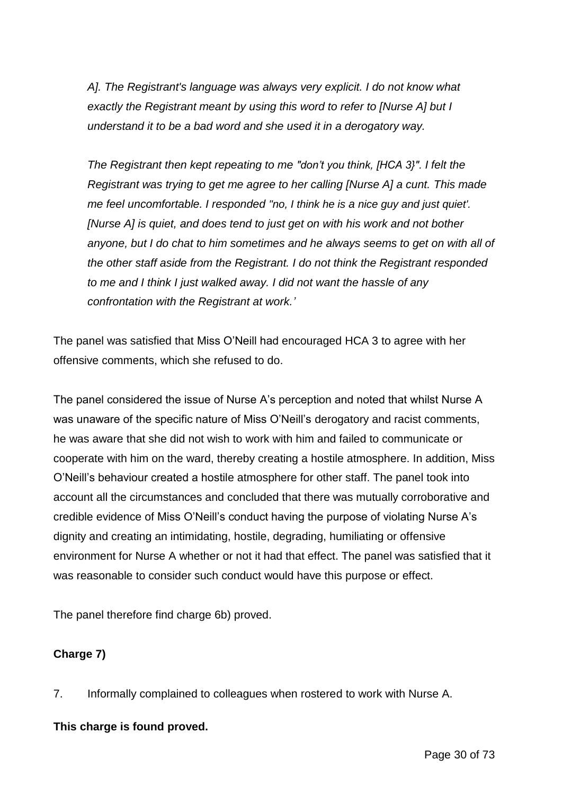*A]. The Registrant's language was always very explicit. I do not know what exactly the Registrant meant by using this word to refer to [Nurse A] but I understand it to be a bad word and she used it in a derogatory way.*

*The Registrant then kept repeating to me "don't you think, [HCA 3}". I felt the Registrant was trying to get me agree to her calling [Nurse A] a cunt. This made me feel uncomfortable. I responded "no, I think he is a nice guy and just quiet'. [Nurse A] is quiet, and does tend to just get on with his work and not bother anyone, but I do chat to him sometimes and he always seems to get on with all of the other staff aside from the Registrant. I do not think the Registrant responded to me and I think I just walked away. I did not want the hassle of any confrontation with the Registrant at work.'*

The panel was satisfied that Miss O'Neill had encouraged HCA 3 to agree with her offensive comments, which she refused to do.

The panel considered the issue of Nurse A's perception and noted that whilst Nurse A was unaware of the specific nature of Miss O'Neill's derogatory and racist comments, he was aware that she did not wish to work with him and failed to communicate or cooperate with him on the ward, thereby creating a hostile atmosphere. In addition, Miss O'Neill's behaviour created a hostile atmosphere for other staff. The panel took into account all the circumstances and concluded that there was mutually corroborative and credible evidence of Miss O'Neill's conduct having the purpose of violating Nurse A's dignity and creating an intimidating, hostile, degrading, humiliating or offensive environment for Nurse A whether or not it had that effect. The panel was satisfied that it was reasonable to consider such conduct would have this purpose or effect.

The panel therefore find charge 6b) proved.

### **Charge 7)**

7. Informally complained to colleagues when rostered to work with Nurse A.

#### **This charge is found proved.**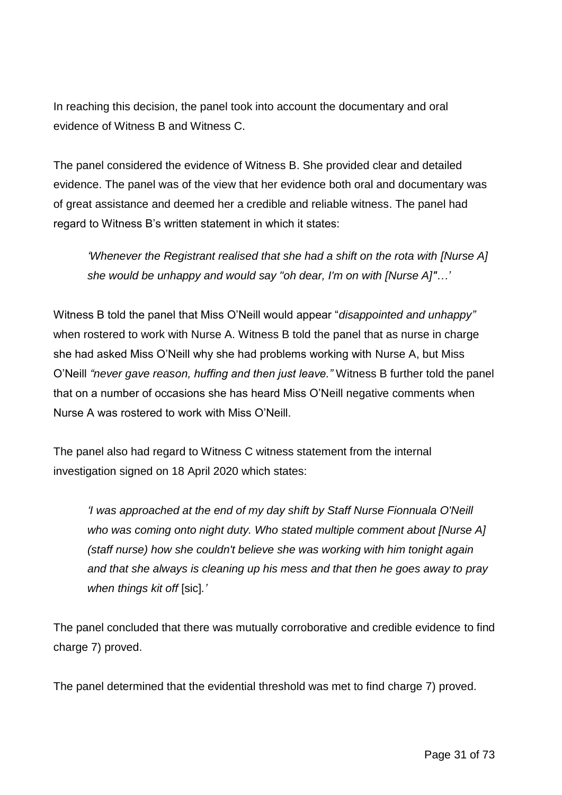In reaching this decision, the panel took into account the documentary and oral evidence of Witness B and Witness C.

The panel considered the evidence of Witness B. She provided clear and detailed evidence. The panel was of the view that her evidence both oral and documentary was of great assistance and deemed her a credible and reliable witness. The panel had regard to Witness B's written statement in which it states:

*'Whenever the Registrant realised that she had a shift on the rota with [Nurse A] she would be unhappy and would say "oh dear, I'm on with [Nurse A]"…'*

Witness B told the panel that Miss O'Neill would appear "*disappointed and unhappy"*  when rostered to work with Nurse A. Witness B told the panel that as nurse in charge she had asked Miss O'Neill why she had problems working with Nurse A, but Miss O'Neill *"never gave reason, huffing and then just leave."* Witness B further told the panel that on a number of occasions she has heard Miss O'Neill negative comments when Nurse A was rostered to work with Miss O'Neill.

The panel also had regard to Witness C witness statement from the internal investigation signed on 18 April 2020 which states:

*'I was approached at the end of my day shift by Staff Nurse Fionnuala O'Neill who was coming onto night duty. Who stated multiple comment about [Nurse A] (staff nurse) how she couldn't believe she was working with him tonight again and that she always is cleaning up his mess and that then he goes away to pray when things kit off* [sic]*.'*

The panel concluded that there was mutually corroborative and credible evidence to find charge 7) proved.

The panel determined that the evidential threshold was met to find charge 7) proved.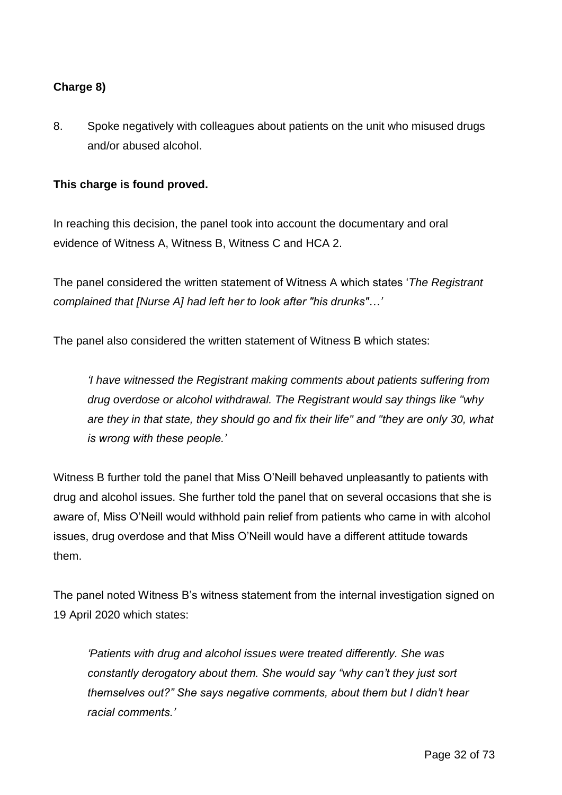### **Charge 8)**

8. Spoke negatively with colleagues about patients on the unit who misused drugs and/or abused alcohol.

### **This charge is found proved.**

In reaching this decision, the panel took into account the documentary and oral evidence of Witness A, Witness B, Witness C and HCA 2.

The panel considered the written statement of Witness A which states '*The Registrant complained that [Nurse A] had left her to look after "his drunks"…'*

The panel also considered the written statement of Witness B which states:

*'I have witnessed the Registrant making comments about patients suffering from drug overdose or alcohol withdrawal. The Registrant would say things like "why are they in that state, they should go and fix their life" and "they are only 30, what is wrong with these people.'*

Witness B further told the panel that Miss O'Neill behaved unpleasantly to patients with drug and alcohol issues. She further told the panel that on several occasions that she is aware of, Miss O'Neill would withhold pain relief from patients who came in with alcohol issues, drug overdose and that Miss O'Neill would have a different attitude towards them.

The panel noted Witness B's witness statement from the internal investigation signed on 19 April 2020 which states:

*'Patients with drug and alcohol issues were treated differently. She was constantly derogatory about them. She would say "why can't they just sort themselves out?" She says negative comments, about them but I didn't hear racial comments.'*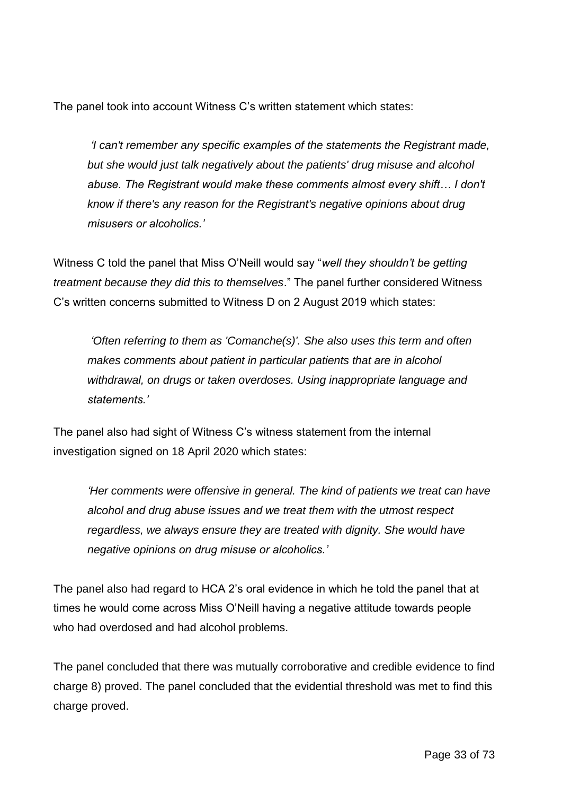The panel took into account Witness C's written statement which states:

*'I can't remember any specific examples of the statements the Registrant made, but she would just talk negatively about the patients' drug misuse and alcohol abuse. The Registrant would make these comments almost every shift… I don't know if there's any reason for the Registrant's negative opinions about drug misusers or alcoholics.'*

Witness C told the panel that Miss O'Neill would say "*well they shouldn't be getting treatment because they did this to themselves*." The panel further considered Witness C's written concerns submitted to Witness D on 2 August 2019 which states:

*'Often referring to them as 'Comanche(s)'. She also uses this term and often makes comments about patient in particular patients that are in alcohol withdrawal, on drugs or taken overdoses. Using inappropriate language and statements.'*

The panel also had sight of Witness C's witness statement from the internal investigation signed on 18 April 2020 which states:

*'Her comments were offensive in general. The kind of patients we treat can have alcohol and drug abuse issues and we treat them with the utmost respect regardless, we always ensure they are treated with dignity. She would have negative opinions on drug misuse or alcoholics.'*

The panel also had regard to HCA 2's oral evidence in which he told the panel that at times he would come across Miss O'Neill having a negative attitude towards people who had overdosed and had alcohol problems.

The panel concluded that there was mutually corroborative and credible evidence to find charge 8) proved. The panel concluded that the evidential threshold was met to find this charge proved.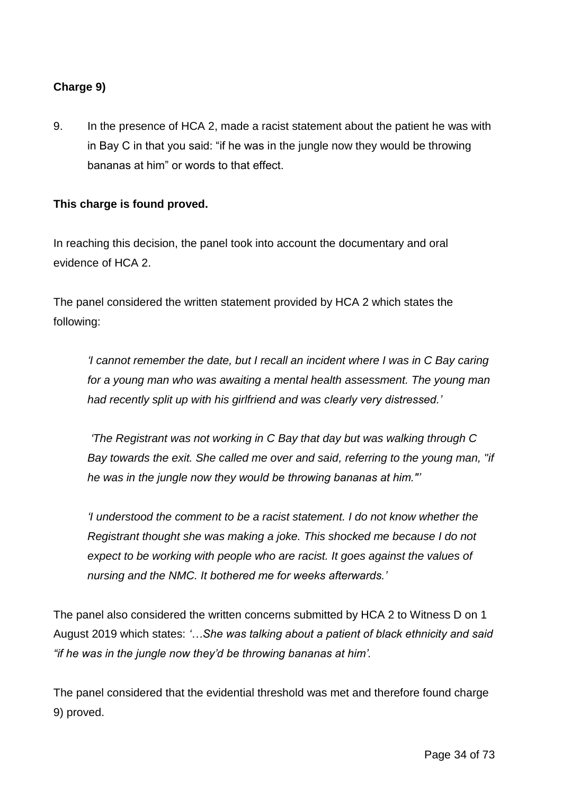### **Charge 9)**

9. In the presence of HCA 2, made a racist statement about the patient he was with in Bay C in that you said: "if he was in the jungle now they would be throwing bananas at him" or words to that effect.

### **This charge is found proved.**

In reaching this decision, the panel took into account the documentary and oral evidence of HCA 2.

The panel considered the written statement provided by HCA 2 which states the following:

*'I cannot remember the date, but I recall an incident where I was in C Bay caring for a young man who was awaiting a mental health assessment. The young man had recently split up with his girlfriend and was clearly very distressed.'*

*'The Registrant was not working in C Bay that day but was walking through C Bay towards the exit. She called me over and said, referring to the young man, "if he was in the jungle now they would be throwing bananas at him."'*

*'I understood the comment to be a racist statement. I do not know whether the Registrant thought she was making a joke. This shocked me because I do not expect to be working with people who are racist. It goes against the values of nursing and the NMC. It bothered me for weeks afterwards.'*

The panel also considered the written concerns submitted by HCA 2 to Witness D on 1 August 2019 which states: *'…She was talking about a patient of black ethnicity and said "if he was in the jungle now they'd be throwing bananas at him'.*

The panel considered that the evidential threshold was met and therefore found charge 9) proved.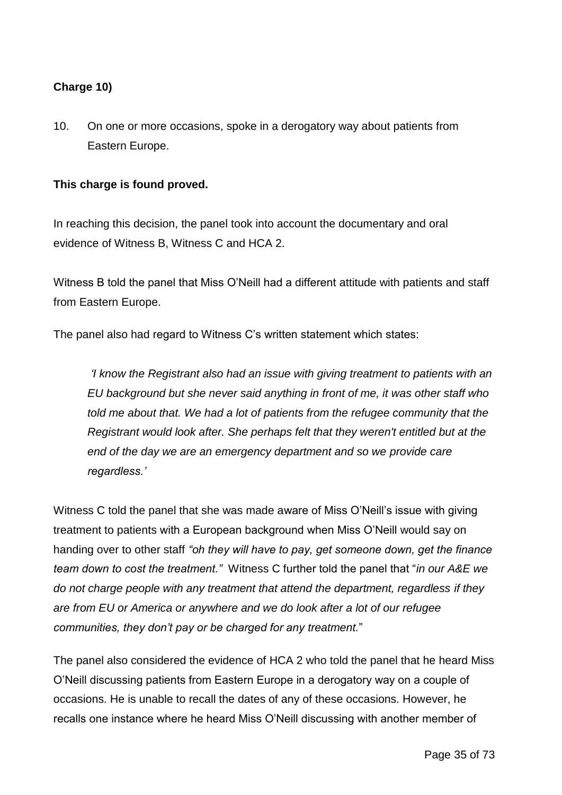### **Charge 10)**

10. On one or more occasions, spoke in a derogatory way about patients from Eastern Europe.

#### **This charge is found proved.**

In reaching this decision, the panel took into account the documentary and oral evidence of Witness B, Witness C and HCA 2.

Witness B told the panel that Miss O'Neill had a different attitude with patients and staff from Eastern Europe.

The panel also had regard to Witness C's written statement which states:

*'I know the Registrant also had an issue with giving treatment to patients with an EU background but she never said anything in front of me, it was other staff who told me about that. We had a lot of patients from the refugee community that the Registrant would look after. She perhaps felt that they weren't entitled but at the end of the day we are an emergency department and so we provide care regardless.'*

Witness C told the panel that she was made aware of Miss O'Neill's issue with giving treatment to patients with a European background when Miss O'Neill would say on handing over to other staff *"oh they will have to pay, get someone down, get the finance team down to cost the treatment."* Witness C further told the panel that "*in our A&E we do not charge people with any treatment that attend the department, regardless if they are from EU or America or anywhere and we do look after a lot of our refugee communities, they don't pay or be charged for any treatment.*"

The panel also considered the evidence of HCA 2 who told the panel that he heard Miss O'Neill discussing patients from Eastern Europe in a derogatory way on a couple of occasions. He is unable to recall the dates of any of these occasions. However, he recalls one instance where he heard Miss O'Neill discussing with another member of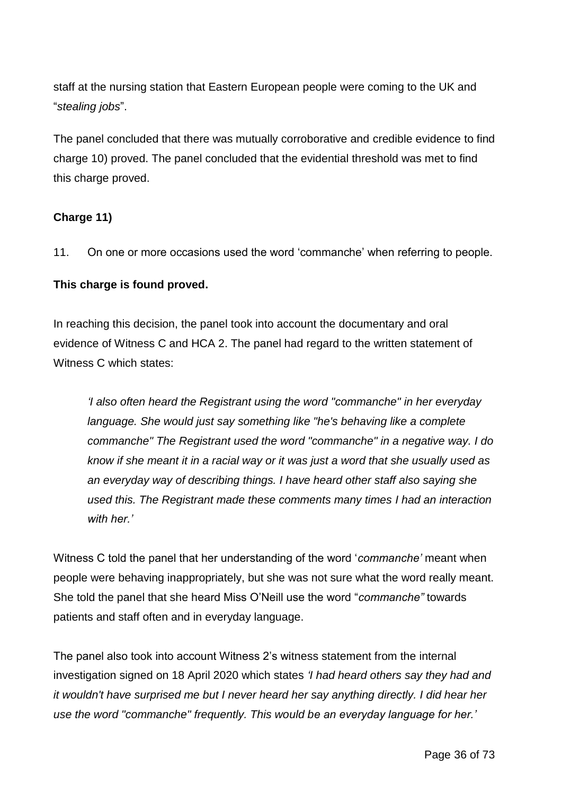staff at the nursing station that Eastern European people were coming to the UK and "*stealing jobs*".

The panel concluded that there was mutually corroborative and credible evidence to find charge 10) proved. The panel concluded that the evidential threshold was met to find this charge proved.

### **Charge 11)**

11. On one or more occasions used the word 'commanche' when referring to people.

### **This charge is found proved.**

In reaching this decision, the panel took into account the documentary and oral evidence of Witness C and HCA 2. The panel had regard to the written statement of Witness C which states:

*'I also often heard the Registrant using the word "commanche" in her everyday language. She would just say something like "he's behaving like a complete commanche" The Registrant used the word "commanche" in a negative way. I do know if she meant it in a racial way or it was just a word that she usually used as an everyday way of describing things. I have heard other staff also saying she used this. The Registrant made these comments many times I had an interaction with her.'*

Witness C told the panel that her understanding of the word '*commanche'* meant when people were behaving inappropriately, but she was not sure what the word really meant. She told the panel that she heard Miss O'Neill use the word "*commanche"* towards patients and staff often and in everyday language.

The panel also took into account Witness 2's witness statement from the internal investigation signed on 18 April 2020 which states *'I had heard others say they had and it wouldn't have surprised me but I never heard her say anything directly. I did hear her use the word "commanche" frequently. This would be an everyday language for her.'*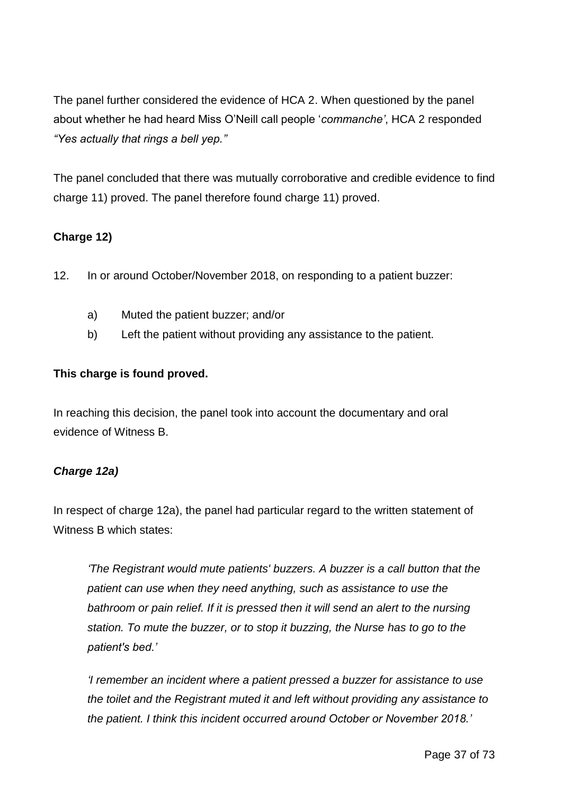The panel further considered the evidence of HCA 2. When questioned by the panel about whether he had heard Miss O'Neill call people '*commanche'*, HCA 2 responded *"Yes actually that rings a bell yep."*

The panel concluded that there was mutually corroborative and credible evidence to find charge 11) proved. The panel therefore found charge 11) proved.

# **Charge 12)**

- 12. In or around October/November 2018, on responding to a patient buzzer:
	- a) Muted the patient buzzer; and/or
	- b) Left the patient without providing any assistance to the patient.

## **This charge is found proved.**

In reaching this decision, the panel took into account the documentary and oral evidence of Witness B.

# *Charge 12a)*

In respect of charge 12a), the panel had particular regard to the written statement of Witness B which states:

*'The Registrant would mute patients' buzzers. A buzzer is a call button that the patient can use when they need anything, such as assistance to use the*  bathroom or pain relief. If it is pressed then it will send an alert to the nursing *station. To mute the buzzer, or to stop it buzzing, the Nurse has to go to the patient's bed.'*

*'I remember an incident where a patient pressed a buzzer for assistance to use the toilet and the Registrant muted it and left without providing any assistance to the patient. I think this incident occurred around October or November 2018.'*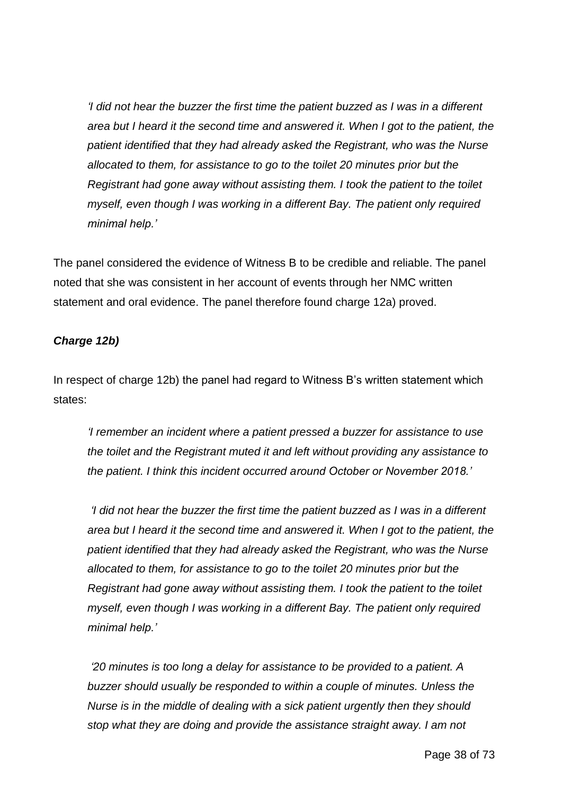*'I did not hear the buzzer the first time the patient buzzed as I was in a different area but I heard it the second time and answered it. When I got to the patient, the patient identified that they had already asked the Registrant, who was the Nurse allocated to them, for assistance to go to the toilet 20 minutes prior but the Registrant had gone away without assisting them. I took the patient to the toilet myself, even though I was working in a different Bay. The patient only required minimal help.'*

The panel considered the evidence of Witness B to be credible and reliable. The panel noted that she was consistent in her account of events through her NMC written statement and oral evidence. The panel therefore found charge 12a) proved.

## *Charge 12b)*

In respect of charge 12b) the panel had regard to Witness B's written statement which states:

*'I remember an incident where a patient pressed a buzzer for assistance to use the toilet and the Registrant muted it and left without providing any assistance to the patient. I think this incident occurred around October or November 2018.'*

*'I did not hear the buzzer the first time the patient buzzed as I was in a different area but I heard it the second time and answered it. When I got to the patient, the patient identified that they had already asked the Registrant, who was the Nurse allocated to them, for assistance to go to the toilet 20 minutes prior but the Registrant had gone away without assisting them. I took the patient to the toilet myself, even though I was working in a different Bay. The patient only required minimal help.'*

*'20 minutes is too long a delay for assistance to be provided to a patient. A buzzer should usually be responded to within a couple of minutes. Unless the Nurse is in the middle of dealing with a sick patient urgently then they should stop what they are doing and provide the assistance straight away. I am not*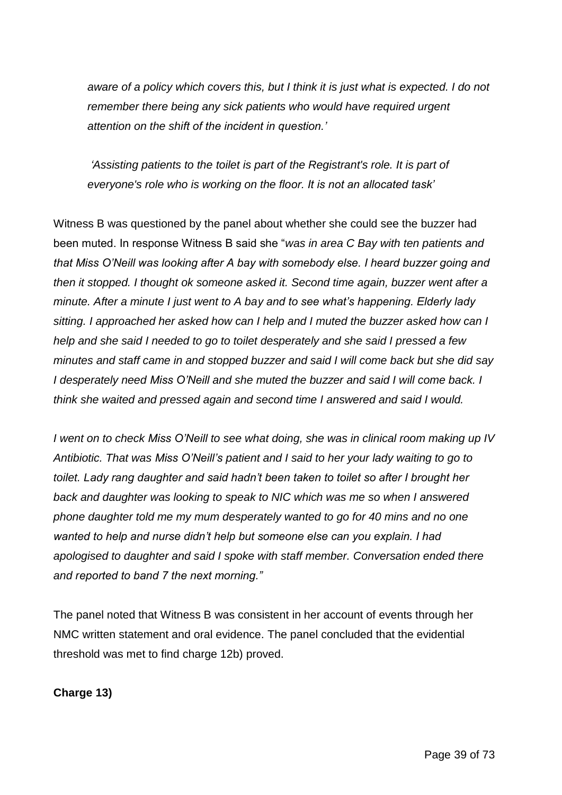*aware of a policy which covers this, but I think it is just what is expected. I do not remember there being any sick patients who would have required urgent attention on the shift of the incident in question.'*

*'Assisting patients to the toilet is part of the Registrant's role. It is part of everyone's role who is working on the floor. It is not an allocated task'*

Witness B was questioned by the panel about whether she could see the buzzer had been muted. In response Witness B said she "*was in area C Bay with ten patients and that Miss O'Neill was looking after A bay with somebody else. I heard buzzer going and then it stopped. I thought ok someone asked it. Second time again, buzzer went after a minute. After a minute I just went to A bay and to see what's happening. Elderly lady sitting. I approached her asked how can I help and I muted the buzzer asked how can I help and she said I needed to go to toilet desperately and she said I pressed a few minutes and staff came in and stopped buzzer and said I will come back but she did say I desperately need Miss O'Neill and she muted the buzzer and said I will come back. I think she waited and pressed again and second time I answered and said I would.*

*I went on to check Miss O'Neill to see what doing, she was in clinical room making up IV Antibiotic. That was Miss O'Neill's patient and I said to her your lady waiting to go to toilet. Lady rang daughter and said hadn't been taken to toilet so after I brought her back and daughter was looking to speak to NIC which was me so when I answered phone daughter told me my mum desperately wanted to go for 40 mins and no one wanted to help and nurse didn't help but someone else can you explain. I had apologised to daughter and said I spoke with staff member. Conversation ended there and reported to band 7 the next morning."*

The panel noted that Witness B was consistent in her account of events through her NMC written statement and oral evidence. The panel concluded that the evidential threshold was met to find charge 12b) proved.

**Charge 13)**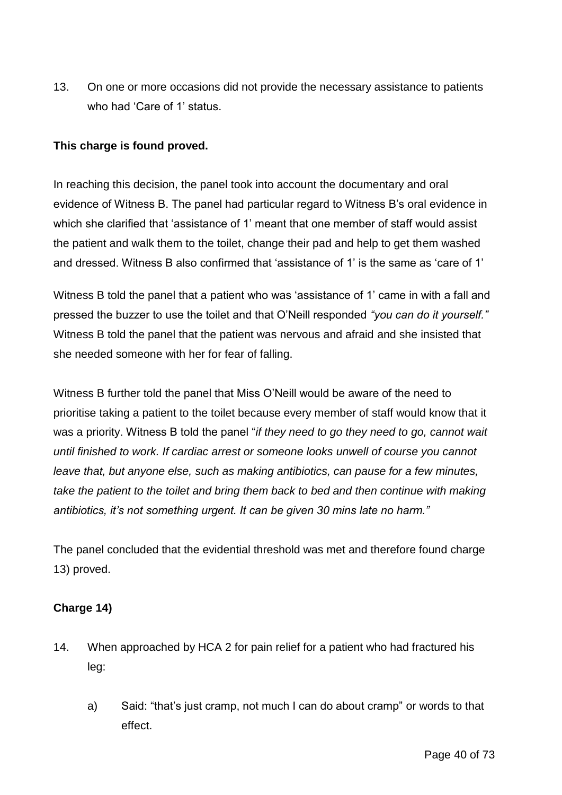13. On one or more occasions did not provide the necessary assistance to patients who had 'Care of 1' status.

## **This charge is found proved.**

In reaching this decision, the panel took into account the documentary and oral evidence of Witness B. The panel had particular regard to Witness B's oral evidence in which she clarified that 'assistance of 1' meant that one member of staff would assist the patient and walk them to the toilet, change their pad and help to get them washed and dressed. Witness B also confirmed that 'assistance of 1' is the same as 'care of 1'

Witness B told the panel that a patient who was 'assistance of 1' came in with a fall and pressed the buzzer to use the toilet and that O'Neill responded *"you can do it yourself."*  Witness B told the panel that the patient was nervous and afraid and she insisted that she needed someone with her for fear of falling.

Witness B further told the panel that Miss O'Neill would be aware of the need to prioritise taking a patient to the toilet because every member of staff would know that it was a priority. Witness B told the panel "*if they need to go they need to go, cannot wait until finished to work. If cardiac arrest or someone looks unwell of course you cannot leave that, but anyone else, such as making antibiotics, can pause for a few minutes, take the patient to the toilet and bring them back to bed and then continue with making antibiotics, it's not something urgent. It can be given 30 mins late no harm."*

The panel concluded that the evidential threshold was met and therefore found charge 13) proved.

# **Charge 14)**

- 14. When approached by HCA 2 for pain relief for a patient who had fractured his leg:
	- a) Said: "that's just cramp, not much I can do about cramp" or words to that effect.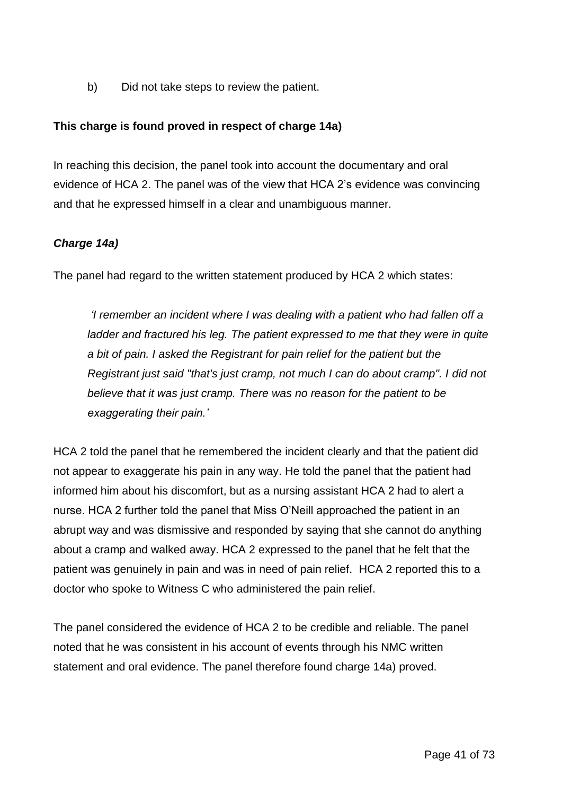b) Did not take steps to review the patient.

## **This charge is found proved in respect of charge 14a)**

In reaching this decision, the panel took into account the documentary and oral evidence of HCA 2. The panel was of the view that HCA 2's evidence was convincing and that he expressed himself in a clear and unambiguous manner.

## *Charge 14a)*

The panel had regard to the written statement produced by HCA 2 which states:

*'I remember an incident where I was dealing with a patient who had fallen off a ladder and fractured his leg. The patient expressed to me that they were in quite a bit of pain. I asked the Registrant for pain relief for the patient but the Registrant just said "that's just cramp, not much I can do about cramp". I did not believe that it was just cramp. There was no reason for the patient to be exaggerating their pain.'*

HCA 2 told the panel that he remembered the incident clearly and that the patient did not appear to exaggerate his pain in any way. He told the panel that the patient had informed him about his discomfort, but as a nursing assistant HCA 2 had to alert a nurse. HCA 2 further told the panel that Miss O'Neill approached the patient in an abrupt way and was dismissive and responded by saying that she cannot do anything about a cramp and walked away. HCA 2 expressed to the panel that he felt that the patient was genuinely in pain and was in need of pain relief. HCA 2 reported this to a doctor who spoke to Witness C who administered the pain relief.

The panel considered the evidence of HCA 2 to be credible and reliable. The panel noted that he was consistent in his account of events through his NMC written statement and oral evidence. The panel therefore found charge 14a) proved.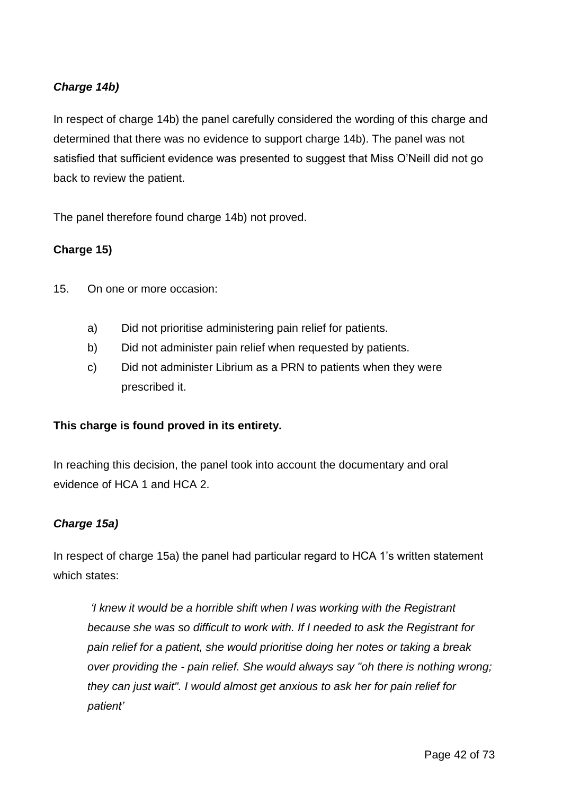# *Charge 14b)*

In respect of charge 14b) the panel carefully considered the wording of this charge and determined that there was no evidence to support charge 14b). The panel was not satisfied that sufficient evidence was presented to suggest that Miss O'Neill did not go back to review the patient.

The panel therefore found charge 14b) not proved.

## **Charge 15)**

- 15. On one or more occasion:
	- a) Did not prioritise administering pain relief for patients.
	- b) Did not administer pain relief when requested by patients.
	- c) Did not administer Librium as a PRN to patients when they were prescribed it.

#### **This charge is found proved in its entirety.**

In reaching this decision, the panel took into account the documentary and oral evidence of HCA 1 and HCA 2.

#### *Charge 15a)*

In respect of charge 15a) the panel had particular regard to HCA 1's written statement which states:

*'I knew it would be a horrible shift when l was working with the Registrant because she was so difficult to work with. If I needed to ask the Registrant for pain relief for a patient, she would prioritise doing her notes or taking a break over providing the - pain relief. She would always say "oh there is nothing wrong; they can just wait". I would almost get anxious to ask her for pain relief for patient'*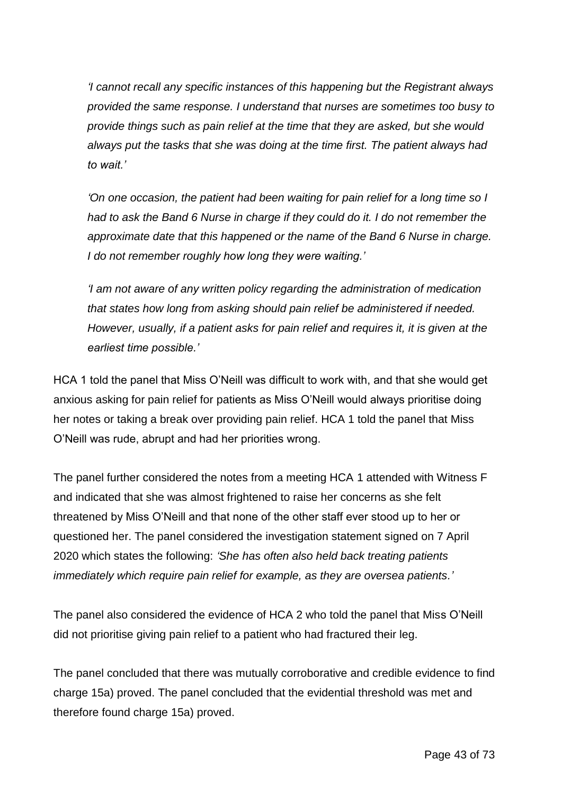*'I cannot recall any specific instances of this happening but the Registrant always provided the same response. I understand that nurses are sometimes too busy to provide things such as pain relief at the time that they are asked, but she would always put the tasks that she was doing at the time first. The patient always had to wait.'*

*'On one occasion, the patient had been waiting for pain relief for a long time so I had to ask the Band 6 Nurse in charge if they could do it. I do not remember the approximate date that this happened or the name of the Band 6 Nurse in charge. I do not remember roughly how long they were waiting.'*

*'I am not aware of any written policy regarding the administration of medication that states how long from asking should pain relief be administered if needed. However, usually, if a patient asks for pain relief and requires it, it is given at the earliest time possible.'*

HCA 1 told the panel that Miss O'Neill was difficult to work with, and that she would get anxious asking for pain relief for patients as Miss O'Neill would always prioritise doing her notes or taking a break over providing pain relief. HCA 1 told the panel that Miss O'Neill was rude, abrupt and had her priorities wrong.

The panel further considered the notes from a meeting HCA 1 attended with Witness F and indicated that she was almost frightened to raise her concerns as she felt threatened by Miss O'Neill and that none of the other staff ever stood up to her or questioned her. The panel considered the investigation statement signed on 7 April 2020 which states the following: *'She has often also held back treating patients immediately which require pain relief for example, as they are oversea patients.'*

The panel also considered the evidence of HCA 2 who told the panel that Miss O'Neill did not prioritise giving pain relief to a patient who had fractured their leg.

The panel concluded that there was mutually corroborative and credible evidence to find charge 15a) proved. The panel concluded that the evidential threshold was met and therefore found charge 15a) proved.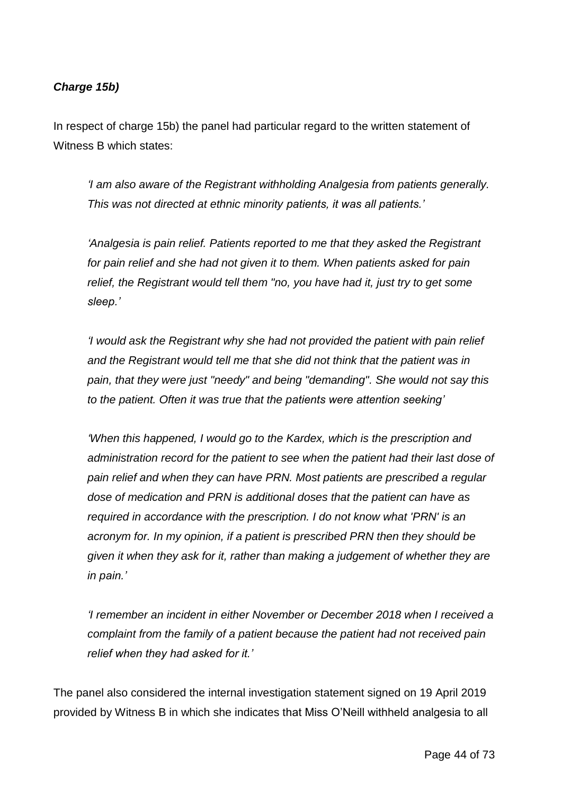# *Charge 15b)*

In respect of charge 15b) the panel had particular regard to the written statement of Witness B which states:

*'I am also aware of the Registrant withholding Analgesia from patients generally. This was not directed at ethnic minority patients, it was all patients.'*

*'Analgesia is pain relief. Patients reported to me that they asked the Registrant for pain relief and she had not given it to them. When patients asked for pain relief, the Registrant would tell them "no, you have had it, just try to get some sleep.'*

*'I would ask the Registrant why she had not provided the patient with pain relief and the Registrant would tell me that she did not think that the patient was in pain, that they were just "needy" and being "demanding". She would not say this to the patient. Often it was true that the patients were attention seeking'*

*'When this happened, I would go to the Kardex, which is the prescription and administration record for the patient to see when the patient had their last dose of pain relief and when they can have PRN. Most patients are prescribed a regular dose of medication and PRN is additional doses that the patient can have as required in accordance with the prescription. I do not know what 'PRN' is an acronym for. In my opinion, if a patient is prescribed PRN then they should be given it when they ask for it, rather than making a judgement of whether they are in pain.'*

*'I remember an incident in either November or December 2018 when I received a complaint from the family of a patient because the patient had not received pain relief when they had asked for it.'*

The panel also considered the internal investigation statement signed on 19 April 2019 provided by Witness B in which she indicates that Miss O'Neill withheld analgesia to all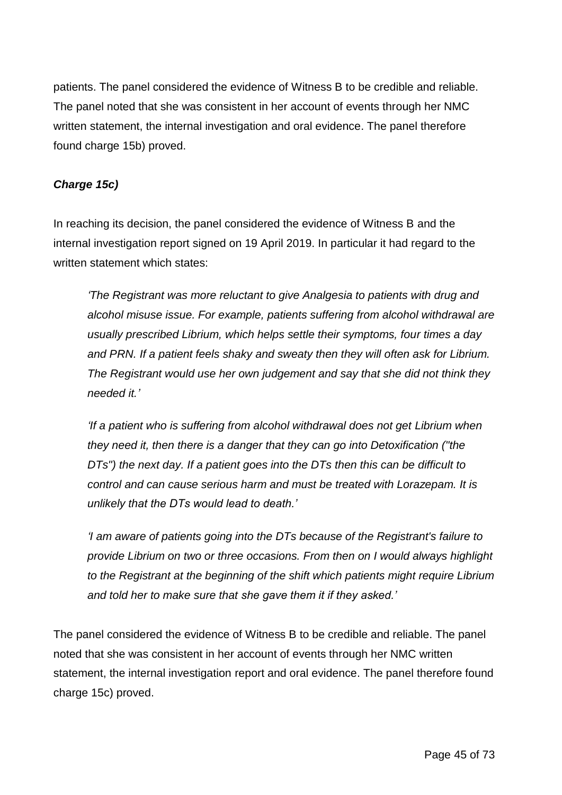patients. The panel considered the evidence of Witness B to be credible and reliable. The panel noted that she was consistent in her account of events through her NMC written statement, the internal investigation and oral evidence. The panel therefore found charge 15b) proved.

# *Charge 15c)*

In reaching its decision, the panel considered the evidence of Witness B and the internal investigation report signed on 19 April 2019. In particular it had regard to the written statement which states:

*'The Registrant was more reluctant to give Analgesia to patients with drug and alcohol misuse issue. For example, patients suffering from alcohol withdrawal are usually prescribed Librium, which helps settle their symptoms, four times a day and PRN. If a patient feels shaky and sweaty then they will often ask for Librium. The Registrant would use her own judgement and say that she did not think they needed it.'*

*'If a patient who is suffering from alcohol withdrawal does not get Librium when they need it, then there is a danger that they can go into Detoxification ("the DTs") the next day. If a patient goes into the DTs then this can be difficult to control and can cause serious harm and must be treated with Lorazepam. It is unlikely that the DTs would lead to death.'*

*'I am aware of patients going into the DTs because of the Registrant's failure to provide Librium on two or three occasions. From then on I would always highlight to the Registrant at the beginning of the shift which patients might require Librium and told her to make sure that she gave them it if they asked.'*

The panel considered the evidence of Witness B to be credible and reliable. The panel noted that she was consistent in her account of events through her NMC written statement, the internal investigation report and oral evidence. The panel therefore found charge 15c) proved.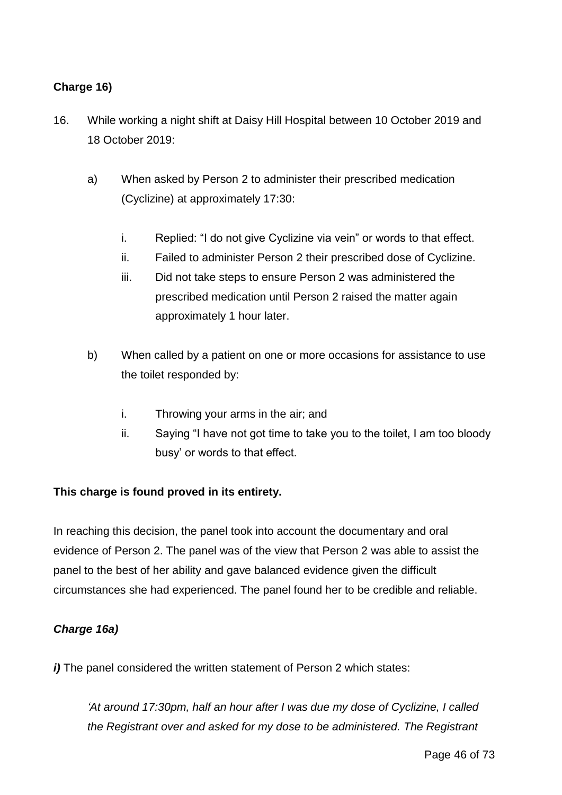# **Charge 16)**

- 16. While working a night shift at Daisy Hill Hospital between 10 October 2019 and 18 October 2019:
	- a) When asked by Person 2 to administer their prescribed medication (Cyclizine) at approximately 17:30:
		- i. Replied: "I do not give Cyclizine via vein" or words to that effect.
		- ii. Failed to administer Person 2 their prescribed dose of Cyclizine.
		- iii. Did not take steps to ensure Person 2 was administered the prescribed medication until Person 2 raised the matter again approximately 1 hour later.
	- b) When called by a patient on one or more occasions for assistance to use the toilet responded by:
		- i. Throwing your arms in the air; and
		- ii. Saying "I have not got time to take you to the toilet, I am too bloody busy' or words to that effect.

# **This charge is found proved in its entirety.**

In reaching this decision, the panel took into account the documentary and oral evidence of Person 2. The panel was of the view that Person 2 was able to assist the panel to the best of her ability and gave balanced evidence given the difficult circumstances she had experienced. The panel found her to be credible and reliable.

#### *Charge 16a)*

*i*) The panel considered the written statement of Person 2 which states:

*'At around 17:30pm, half an hour after I was due my dose of Cyclizine, I called the Registrant over and asked for my dose to be administered. The Registrant*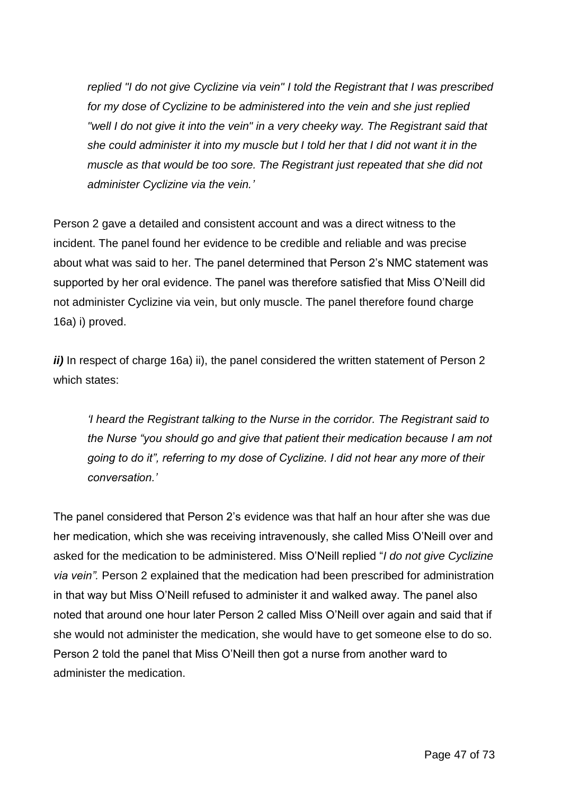*replied "I do not give Cyclizine via vein" I told the Registrant that I was prescribed for my dose of Cyclizine to be administered into the vein and she just replied "well I do not give it into the vein" in a very cheeky way. The Registrant said that she could administer it into my muscle but I told her that I did not want it in the muscle as that would be too sore. The Registrant just repeated that she did not administer Cyclizine via the vein.'*

Person 2 gave a detailed and consistent account and was a direct witness to the incident. The panel found her evidence to be credible and reliable and was precise about what was said to her. The panel determined that Person 2's NMC statement was supported by her oral evidence. The panel was therefore satisfied that Miss O'Neill did not administer Cyclizine via vein, but only muscle. The panel therefore found charge 16a) i) proved.

*ii*) In respect of charge 16a) ii), the panel considered the written statement of Person 2 which states:

*'I heard the Registrant talking to the Nurse in the corridor. The Registrant said to the Nurse "you should go and give that patient their medication because I am not going to do it", referring to my dose of Cyclizine. I did not hear any more of their conversation.'*

The panel considered that Person 2's evidence was that half an hour after she was due her medication, which she was receiving intravenously, she called Miss O'Neill over and asked for the medication to be administered. Miss O'Neill replied "*I do not give Cyclizine via vein".* Person 2 explained that the medication had been prescribed for administration in that way but Miss O'Neill refused to administer it and walked away. The panel also noted that around one hour later Person 2 called Miss O'Neill over again and said that if she would not administer the medication, she would have to get someone else to do so. Person 2 told the panel that Miss O'Neill then got a nurse from another ward to administer the medication.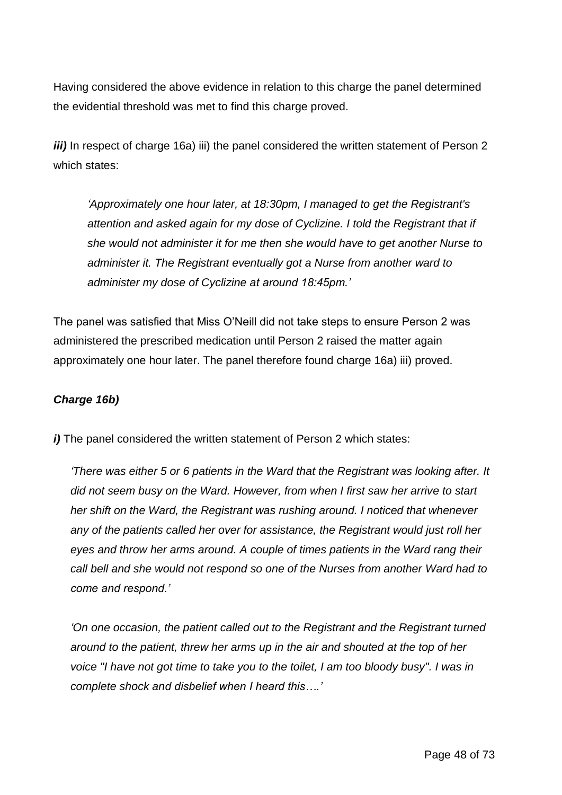Having considered the above evidence in relation to this charge the panel determined the evidential threshold was met to find this charge proved.

*iii*) In respect of charge 16a) iii) the panel considered the written statement of Person 2 which states:

*'Approximately one hour later, at 18:30pm, I managed to get the Registrant's attention and asked again for my dose of Cyclizine. I told the Registrant that if she would not administer it for me then she would have to get another Nurse to administer it. The Registrant eventually got a Nurse from another ward to administer my dose of Cyclizine at around 18:45pm.'*

The panel was satisfied that Miss O'Neill did not take steps to ensure Person 2 was administered the prescribed medication until Person 2 raised the matter again approximately one hour later. The panel therefore found charge 16a) iii) proved.

# *Charge 16b)*

*i*) The panel considered the written statement of Person 2 which states:

*'There was either 5 or 6 patients in the Ward that the Registrant was looking after. It did not seem busy on the Ward. However, from when I first saw her arrive to start her shift on the Ward, the Registrant was rushing around. I noticed that whenever any of the patients called her over for assistance, the Registrant would just roll her eyes and throw her arms around. A couple of times patients in the Ward rang their call bell and she would not respond so one of the Nurses from another Ward had to come and respond.'*

*'On one occasion, the patient called out to the Registrant and the Registrant turned around to the patient, threw her arms up in the air and shouted at the top of her voice "I have not got time to take you to the toilet, I am too bloody busy". I was in complete shock and disbelief when I heard this….'*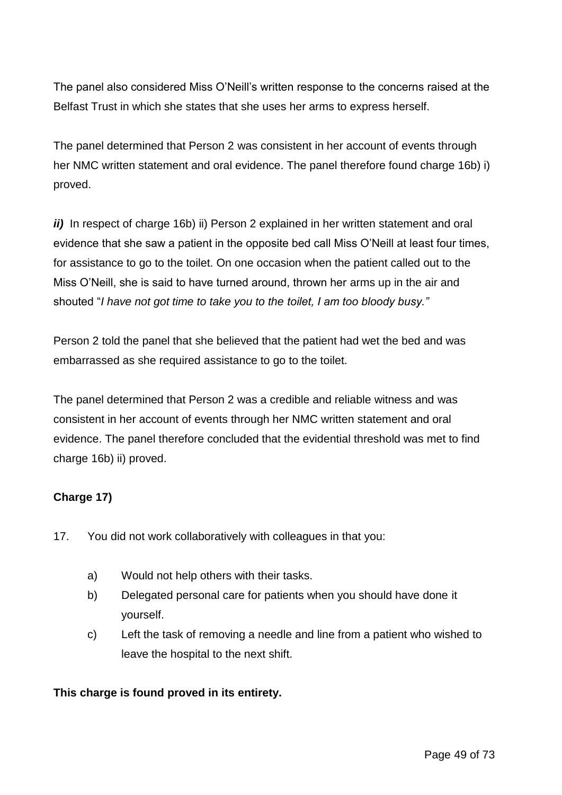The panel also considered Miss O'Neill's written response to the concerns raised at the Belfast Trust in which she states that she uses her arms to express herself.

The panel determined that Person 2 was consistent in her account of events through her NMC written statement and oral evidence. The panel therefore found charge 16b) i) proved.

*ii*) In respect of charge 16b) ii) Person 2 explained in her written statement and oral evidence that she saw a patient in the opposite bed call Miss O'Neill at least four times, for assistance to go to the toilet. On one occasion when the patient called out to the Miss O'Neill, she is said to have turned around, thrown her arms up in the air and shouted "*I have not got time to take you to the toilet, I am too bloody busy."*

Person 2 told the panel that she believed that the patient had wet the bed and was embarrassed as she required assistance to go to the toilet.

The panel determined that Person 2 was a credible and reliable witness and was consistent in her account of events through her NMC written statement and oral evidence. The panel therefore concluded that the evidential threshold was met to find charge 16b) ii) proved.

# **Charge 17)**

- 17. You did not work collaboratively with colleagues in that you:
	- a) Would not help others with their tasks.
	- b) Delegated personal care for patients when you should have done it yourself.
	- c) Left the task of removing a needle and line from a patient who wished to leave the hospital to the next shift.

# **This charge is found proved in its entirety.**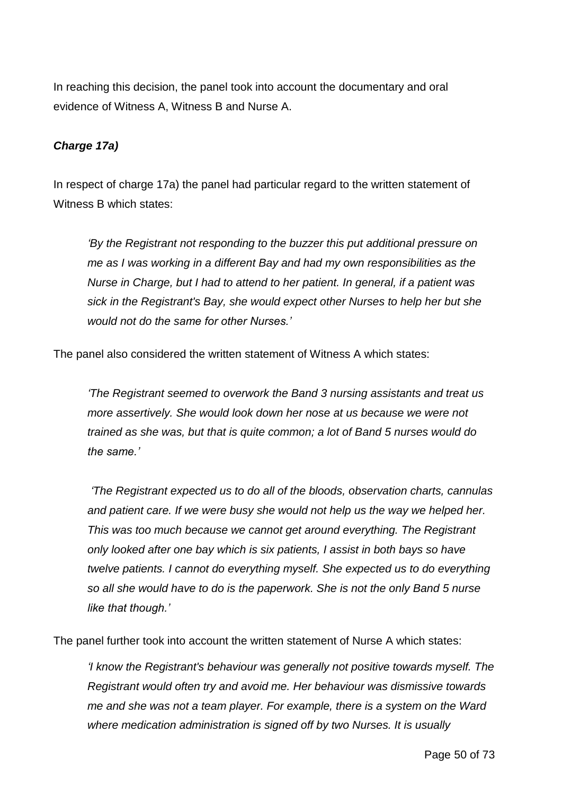In reaching this decision, the panel took into account the documentary and oral evidence of Witness A, Witness B and Nurse A.

## *Charge 17a)*

In respect of charge 17a) the panel had particular regard to the written statement of Witness B which states:

*'By the Registrant not responding to the buzzer this put additional pressure on me as I was working in a different Bay and had my own responsibilities as the Nurse in Charge, but I had to attend to her patient. In general, if a patient was sick in the Registrant's Bay, she would expect other Nurses to help her but she would not do the same for other Nurses.'*

The panel also considered the written statement of Witness A which states:

*'The Registrant seemed to overwork the Band 3 nursing assistants and treat us more assertively. She would look down her nose at us because we were not trained as she was, but that is quite common; a lot of Band 5 nurses would do the same.'*

*'The Registrant expected us to do all of the bloods, observation charts, cannulas*  and patient care. If we were busy she would not help us the way we helped her. *This was too much because we cannot get around everything. The Registrant only looked after one bay which is six patients, I assist in both bays so have twelve patients. I cannot do everything myself. She expected us to do everything so all she would have to do is the paperwork. She is not the only Band 5 nurse like that though.'*

The panel further took into account the written statement of Nurse A which states:

*'I know the Registrant's behaviour was generally not positive towards myself. The Registrant would often try and avoid me. Her behaviour was dismissive towards me and she was not a team player. For example, there is a system on the Ward where medication administration is signed off by two Nurses. It is usually*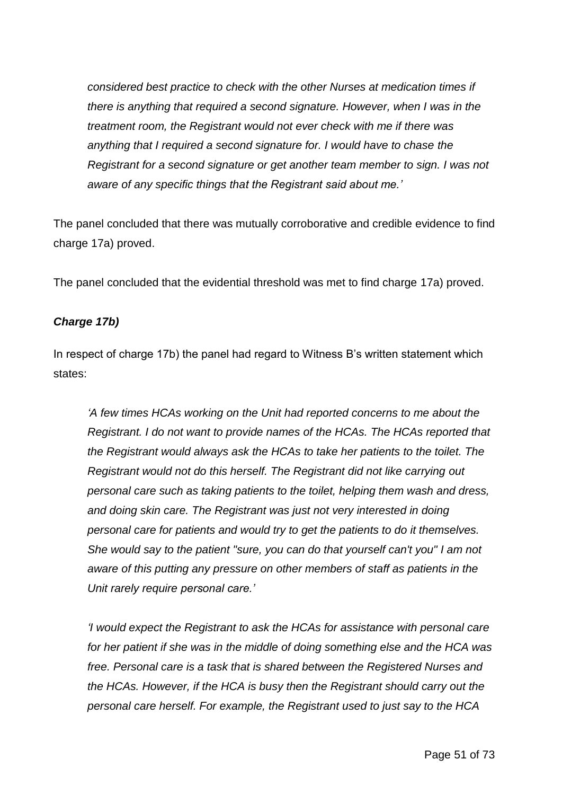*considered best practice to check with the other Nurses at medication times if there is anything that required a second signature. However, when I was in the treatment room, the Registrant would not ever check with me if there was anything that I required a second signature for. I would have to chase the Registrant for a second signature or get another team member to sign. I was not aware of any specific things that the Registrant said about me.'*

The panel concluded that there was mutually corroborative and credible evidence to find charge 17a) proved.

The panel concluded that the evidential threshold was met to find charge 17a) proved.

# *Charge 17b)*

In respect of charge 17b) the panel had regard to Witness B's written statement which states:

*'A few times HCAs working on the Unit had reported concerns to me about the Registrant. I do not want to provide names of the HCAs. The HCAs reported that the Registrant would always ask the HCAs to take her patients to the toilet. The Registrant would not do this herself. The Registrant did not like carrying out personal care such as taking patients to the toilet, helping them wash and dress, and doing skin care. The Registrant was just not very interested in doing personal care for patients and would try to get the patients to do it themselves. She would say to the patient "sure, you can do that yourself can't you" I am not aware of this putting any pressure on other members of staff as patients in the Unit rarely require personal care.'*

*'I would expect the Registrant to ask the HCAs for assistance with personal care for her patient if she was in the middle of doing something else and the HCA was free. Personal care is a task that is shared between the Registered Nurses and the HCAs. However, if the HCA is busy then the Registrant should carry out the personal care herself. For example, the Registrant used to just say to the HCA*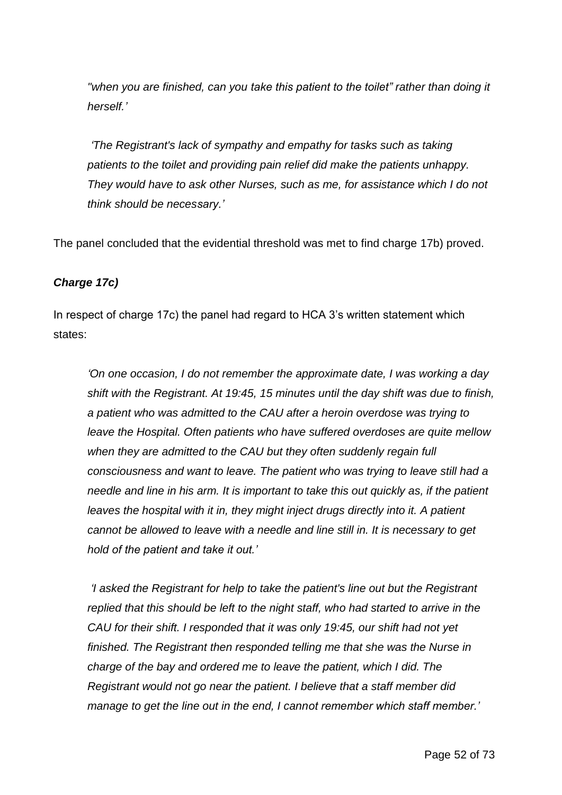*"when you are finished, can you take this patient to the toilet" rather than doing it herself.'*

*'The Registrant's lack of sympathy and empathy for tasks such as taking patients to the toilet and providing pain relief did make the patients unhappy. They would have to ask other Nurses, such as me, for assistance which I do not think should be necessary.'*

The panel concluded that the evidential threshold was met to find charge 17b) proved.

## *Charge 17c)*

In respect of charge 17c) the panel had regard to HCA 3's written statement which states:

*'On one occasion, I do not remember the approximate date, I was working a day shift with the Registrant. At 19:45, 15 minutes until the day shift was due to finish, a patient who was admitted to the CAU after a heroin overdose was trying to leave the Hospital. Often patients who have suffered overdoses are quite mellow when they are admitted to the CAU but they often suddenly regain full consciousness and want to leave. The patient who was trying to leave still had a needle and line in his arm. It is important to take this out quickly as, if the patient leaves the hospital with it in, they might inject drugs directly into it. A patient cannot be allowed to leave with a needle and line still in. It is necessary to get hold of the patient and take it out.'*

*'I asked the Registrant for help to take the patient's line out but the Registrant replied that this should be left to the night staff, who had started to arrive in the CAU for their shift. I responded that it was only 19:45, our shift had not yet finished. The Registrant then responded telling me that she was the Nurse in charge of the bay and ordered me to leave the patient, which I did. The Registrant would not go near the patient. I believe that a staff member did manage to get the line out in the end, I cannot remember which staff member.'*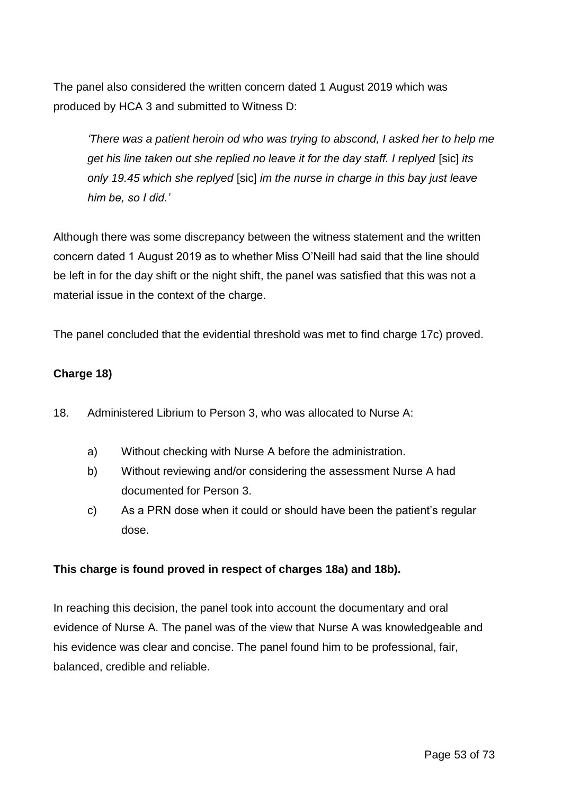The panel also considered the written concern dated 1 August 2019 which was produced by HCA 3 and submitted to Witness D:

*'There was a patient heroin od who was trying to abscond, I asked her to help me get his line taken out she replied no leave it for the day staff. I replyed* [sic] *its only 19.45 which she replyed* [sic] *im the nurse in charge in this bay just leave him be, so I did.'*

Although there was some discrepancy between the witness statement and the written concern dated 1 August 2019 as to whether Miss O'Neill had said that the line should be left in for the day shift or the night shift, the panel was satisfied that this was not a material issue in the context of the charge.

The panel concluded that the evidential threshold was met to find charge 17c) proved.

## **Charge 18)**

- 18. Administered Librium to Person 3, who was allocated to Nurse A:
	- a) Without checking with Nurse A before the administration.
	- b) Without reviewing and/or considering the assessment Nurse A had documented for Person 3.
	- c) As a PRN dose when it could or should have been the patient's regular dose.

#### **This charge is found proved in respect of charges 18a) and 18b).**

In reaching this decision, the panel took into account the documentary and oral evidence of Nurse A. The panel was of the view that Nurse A was knowledgeable and his evidence was clear and concise. The panel found him to be professional, fair, balanced, credible and reliable.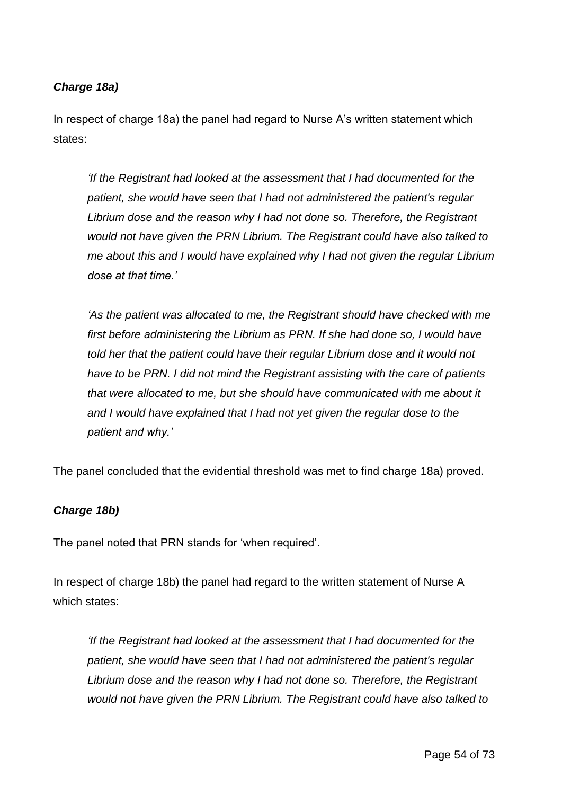# *Charge 18a)*

In respect of charge 18a) the panel had regard to Nurse A's written statement which states:

*'If the Registrant had looked at the assessment that I had documented for the patient, she would have seen that I had not administered the patient's regular Librium dose and the reason why I had not done so. Therefore, the Registrant would not have given the PRN Librium. The Registrant could have also talked to me about this and I would have explained why I had not given the regular Librium dose at that time.'*

*'As the patient was allocated to me, the Registrant should have checked with me first before administering the Librium as PRN. If she had done so, I would have told her that the patient could have their regular Librium dose and it would not have to be PRN. I did not mind the Registrant assisting with the care of patients that were allocated to me, but she should have communicated with me about it and I would have explained that I had not yet given the regular dose to the patient and why.'*

The panel concluded that the evidential threshold was met to find charge 18a) proved.

#### *Charge 18b)*

The panel noted that PRN stands for 'when required'.

In respect of charge 18b) the panel had regard to the written statement of Nurse A which states:

*'If the Registrant had looked at the assessment that I had documented for the patient, she would have seen that I had not administered the patient's regular Librium dose and the reason why I had not done so. Therefore, the Registrant would not have given the PRN Librium. The Registrant could have also talked to*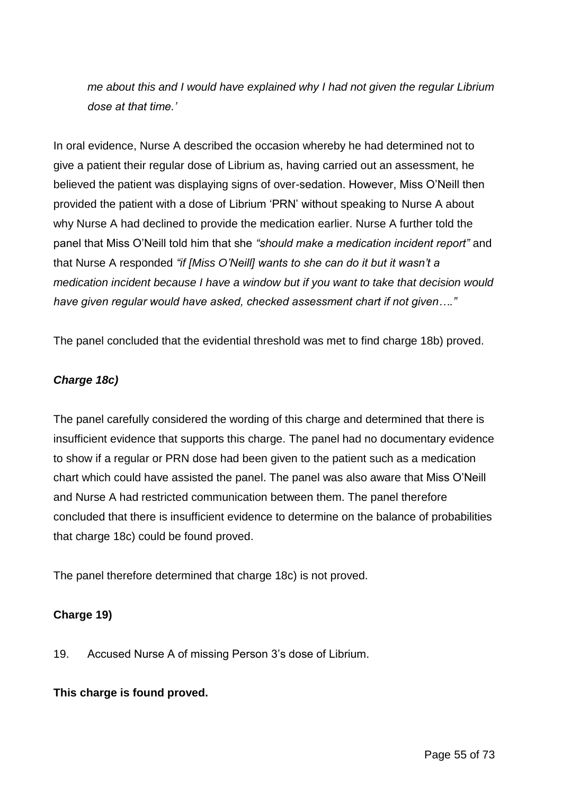*me about this and I would have explained why I had not given the regular Librium dose at that time.'*

In oral evidence, Nurse A described the occasion whereby he had determined not to give a patient their regular dose of Librium as, having carried out an assessment, he believed the patient was displaying signs of over-sedation. However, Miss O'Neill then provided the patient with a dose of Librium 'PRN' without speaking to Nurse A about why Nurse A had declined to provide the medication earlier. Nurse A further told the panel that Miss O'Neill told him that she *"should make a medication incident report"* and that Nurse A responded *"if [Miss O'Neill] wants to she can do it but it wasn't a medication incident because I have a window but if you want to take that decision would have given regular would have asked, checked assessment chart if not given…."*

The panel concluded that the evidential threshold was met to find charge 18b) proved.

#### *Charge 18c)*

The panel carefully considered the wording of this charge and determined that there is insufficient evidence that supports this charge. The panel had no documentary evidence to show if a regular or PRN dose had been given to the patient such as a medication chart which could have assisted the panel. The panel was also aware that Miss O'Neill and Nurse A had restricted communication between them. The panel therefore concluded that there is insufficient evidence to determine on the balance of probabilities that charge 18c) could be found proved.

The panel therefore determined that charge 18c) is not proved.

# **Charge 19)**

19. Accused Nurse A of missing Person 3's dose of Librium.

#### **This charge is found proved.**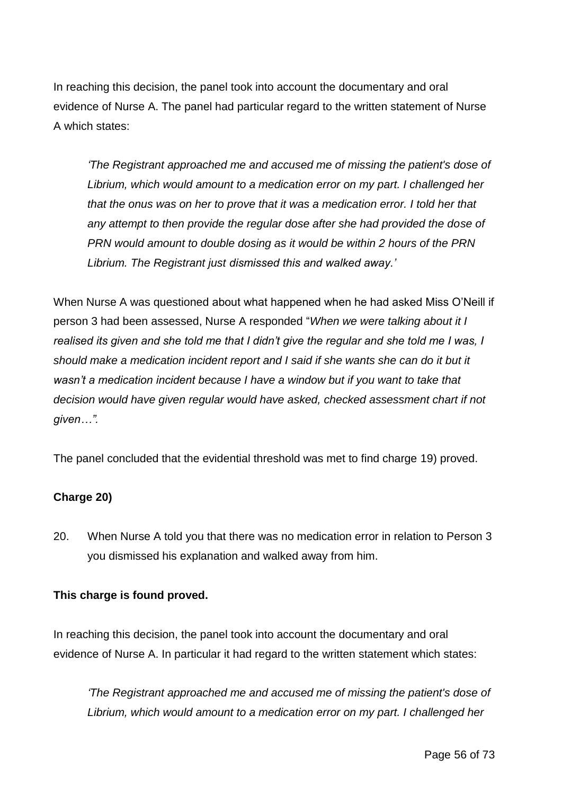In reaching this decision, the panel took into account the documentary and oral evidence of Nurse A. The panel had particular regard to the written statement of Nurse A which states:

*'The Registrant approached me and accused me of missing the patient's dose of Librium, which would amount to a medication error on my part. I challenged her that the onus was on her to prove that it was a medication error. I told her that any attempt to then provide the regular dose after she had provided the dose of PRN would amount to double dosing as it would be within 2 hours of the PRN Librium. The Registrant just dismissed this and walked away.'*

When Nurse A was questioned about what happened when he had asked Miss O'Neill if person 3 had been assessed, Nurse A responded "*When we were talking about it I realised its given and she told me that I didn't give the regular and she told me I was, I should make a medication incident report and I said if she wants she can do it but it wasn't a medication incident because I have a window but if you want to take that decision would have given regular would have asked, checked assessment chart if not given…".*

The panel concluded that the evidential threshold was met to find charge 19) proved.

# **Charge 20)**

20. When Nurse A told you that there was no medication error in relation to Person 3 you dismissed his explanation and walked away from him.

# **This charge is found proved.**

In reaching this decision, the panel took into account the documentary and oral evidence of Nurse A. In particular it had regard to the written statement which states:

*'The Registrant approached me and accused me of missing the patient's dose of Librium, which would amount to a medication error on my part. I challenged her*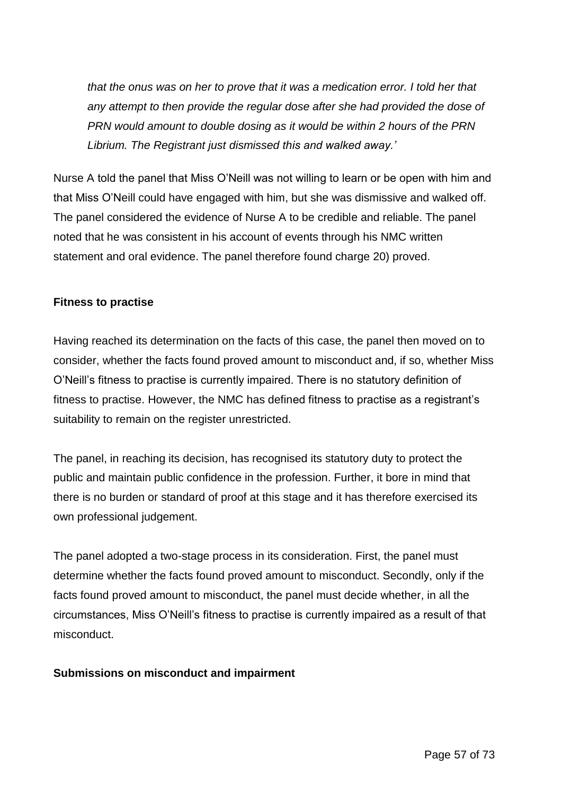*that the onus was on her to prove that it was a medication error. I told her that any attempt to then provide the regular dose after she had provided the dose of PRN would amount to double dosing as it would be within 2 hours of the PRN Librium. The Registrant just dismissed this and walked away.'*

Nurse A told the panel that Miss O'Neill was not willing to learn or be open with him and that Miss O'Neill could have engaged with him, but she was dismissive and walked off. The panel considered the evidence of Nurse A to be credible and reliable. The panel noted that he was consistent in his account of events through his NMC written statement and oral evidence. The panel therefore found charge 20) proved.

## **Fitness to practise**

Having reached its determination on the facts of this case, the panel then moved on to consider, whether the facts found proved amount to misconduct and, if so, whether Miss O'Neill's fitness to practise is currently impaired. There is no statutory definition of fitness to practise. However, the NMC has defined fitness to practise as a registrant's suitability to remain on the register unrestricted.

The panel, in reaching its decision, has recognised its statutory duty to protect the public and maintain public confidence in the profession. Further, it bore in mind that there is no burden or standard of proof at this stage and it has therefore exercised its own professional judgement.

The panel adopted a two-stage process in its consideration. First, the panel must determine whether the facts found proved amount to misconduct. Secondly, only if the facts found proved amount to misconduct, the panel must decide whether, in all the circumstances, Miss O'Neill's fitness to practise is currently impaired as a result of that misconduct.

#### **Submissions on misconduct and impairment**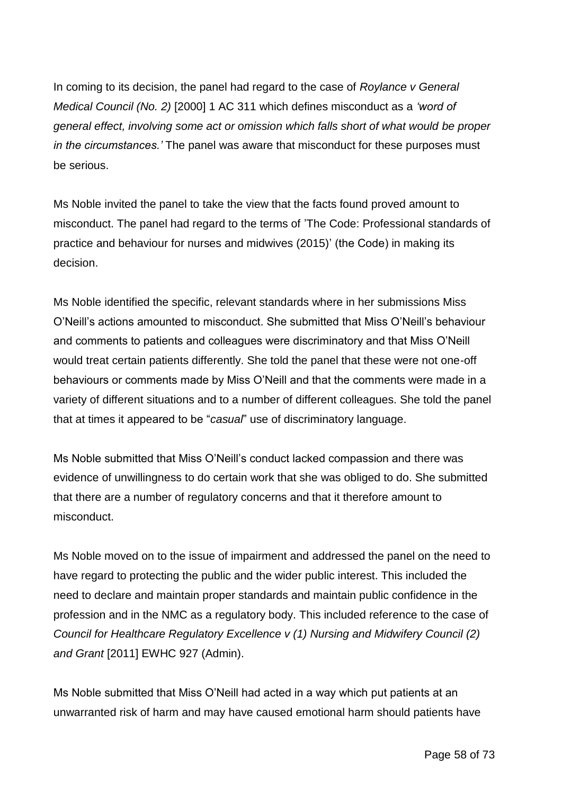In coming to its decision, the panel had regard to the case of *Roylance v General Medical Council (No. 2)* [2000] 1 AC 311 which defines misconduct as a *'word of general effect, involving some act or omission which falls short of what would be proper in the circumstances.'* The panel was aware that misconduct for these purposes must be serious.

Ms Noble invited the panel to take the view that the facts found proved amount to misconduct. The panel had regard to the terms of 'The Code: Professional standards of practice and behaviour for nurses and midwives (2015)' (the Code) in making its decision.

Ms Noble identified the specific, relevant standards where in her submissions Miss O'Neill's actions amounted to misconduct. She submitted that Miss O'Neill's behaviour and comments to patients and colleagues were discriminatory and that Miss O'Neill would treat certain patients differently. She told the panel that these were not one-off behaviours or comments made by Miss O'Neill and that the comments were made in a variety of different situations and to a number of different colleagues. She told the panel that at times it appeared to be "*casual*" use of discriminatory language.

Ms Noble submitted that Miss O'Neill's conduct lacked compassion and there was evidence of unwillingness to do certain work that she was obliged to do. She submitted that there are a number of regulatory concerns and that it therefore amount to misconduct.

Ms Noble moved on to the issue of impairment and addressed the panel on the need to have regard to protecting the public and the wider public interest. This included the need to declare and maintain proper standards and maintain public confidence in the profession and in the NMC as a regulatory body. This included reference to the case of *Council for Healthcare Regulatory Excellence v (1) Nursing and Midwifery Council (2) and Grant* [2011] EWHC 927 (Admin).

Ms Noble submitted that Miss O'Neill had acted in a way which put patients at an unwarranted risk of harm and may have caused emotional harm should patients have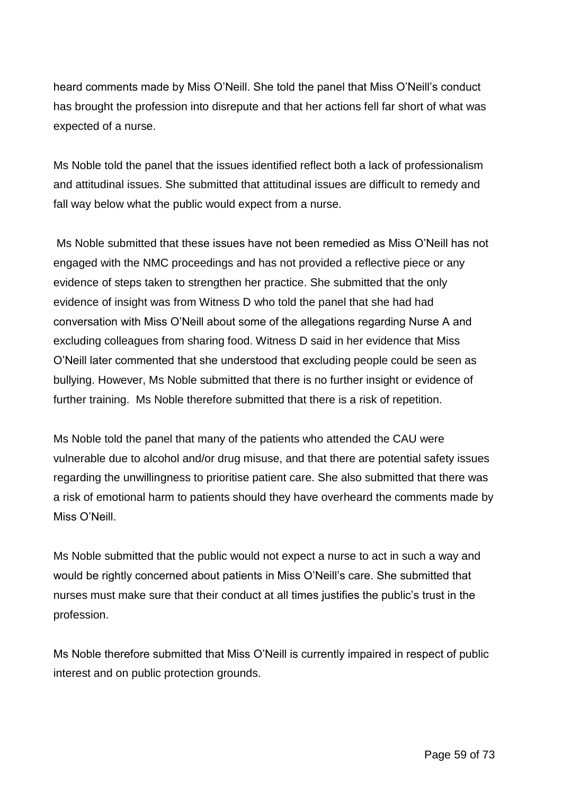heard comments made by Miss O'Neill. She told the panel that Miss O'Neill's conduct has brought the profession into disrepute and that her actions fell far short of what was expected of a nurse.

Ms Noble told the panel that the issues identified reflect both a lack of professionalism and attitudinal issues. She submitted that attitudinal issues are difficult to remedy and fall way below what the public would expect from a nurse.

Ms Noble submitted that these issues have not been remedied as Miss O'Neill has not engaged with the NMC proceedings and has not provided a reflective piece or any evidence of steps taken to strengthen her practice. She submitted that the only evidence of insight was from Witness D who told the panel that she had had conversation with Miss O'Neill about some of the allegations regarding Nurse A and excluding colleagues from sharing food. Witness D said in her evidence that Miss O'Neill later commented that she understood that excluding people could be seen as bullying. However, Ms Noble submitted that there is no further insight or evidence of further training. Ms Noble therefore submitted that there is a risk of repetition.

Ms Noble told the panel that many of the patients who attended the CAU were vulnerable due to alcohol and/or drug misuse, and that there are potential safety issues regarding the unwillingness to prioritise patient care. She also submitted that there was a risk of emotional harm to patients should they have overheard the comments made by Miss O'Neill.

Ms Noble submitted that the public would not expect a nurse to act in such a way and would be rightly concerned about patients in Miss O'Neill's care. She submitted that nurses must make sure that their conduct at all times justifies the public's trust in the profession.

Ms Noble therefore submitted that Miss O'Neill is currently impaired in respect of public interest and on public protection grounds.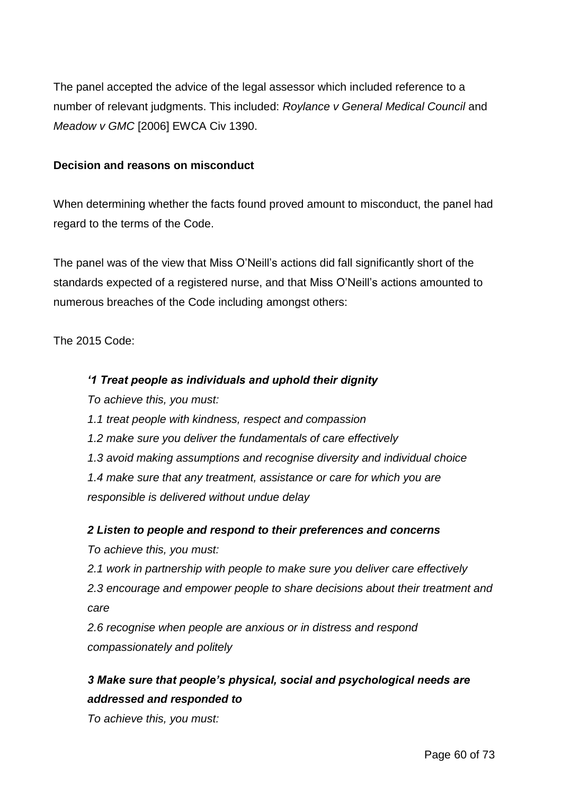The panel accepted the advice of the legal assessor which included reference to a number of relevant judgments. This included: *Roylance v General Medical Council* and *Meadow v GMC* [2006] EWCA Civ 1390.

## **Decision and reasons on misconduct**

When determining whether the facts found proved amount to misconduct, the panel had regard to the terms of the Code.

The panel was of the view that Miss O'Neill's actions did fall significantly short of the standards expected of a registered nurse, and that Miss O'Neill's actions amounted to numerous breaches of the Code including amongst others:

The 2015 Code:

## *'1 Treat people as individuals and uphold their dignity*

*To achieve this, you must:*

- *1.1 treat people with kindness, respect and compassion*
- *1.2 make sure you deliver the fundamentals of care effectively*
- *1.3 avoid making assumptions and recognise diversity and individual choice*

*1.4 make sure that any treatment, assistance or care for which you are responsible is delivered without undue delay*

#### *2 Listen to people and respond to their preferences and concerns*

*To achieve this, you must:*

*2.1 work in partnership with people to make sure you deliver care effectively* 

*2.3 encourage and empower people to share decisions about their treatment and care*

*2.6 recognise when people are anxious or in distress and respond compassionately and politely*

# *3 Make sure that people's physical, social and psychological needs are addressed and responded to*

*To achieve this, you must:*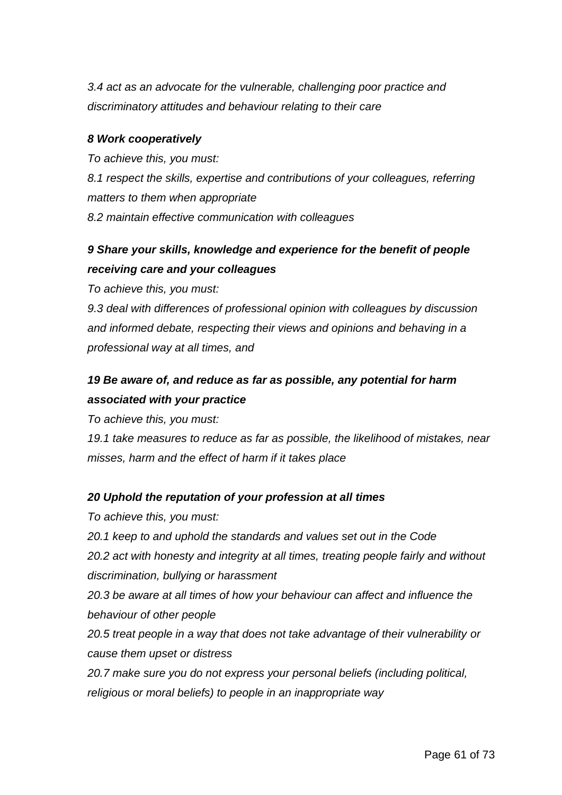*3.4 act as an advocate for the vulnerable, challenging poor practice and discriminatory attitudes and behaviour relating to their care*

#### *8 Work cooperatively*

*To achieve this, you must: 8.1 respect the skills, expertise and contributions of your colleagues, referring matters to them when appropriate 8.2 maintain effective communication with colleagues* 

# *9 Share your skills, knowledge and experience for the benefit of people receiving care and your colleagues*

*To achieve this, you must:*

*9.3 deal with differences of professional opinion with colleagues by discussion and informed debate, respecting their views and opinions and behaving in a professional way at all times, and*

# *19 Be aware of, and reduce as far as possible, any potential for harm associated with your practice*

*To achieve this, you must:*

*19.1 take measures to reduce as far as possible, the likelihood of mistakes, near misses, harm and the effect of harm if it takes place*

# *20 Uphold the reputation of your profession at all times*

- *To achieve this, you must:*
- *20.1 keep to and uphold the standards and values set out in the Code*

*20.2 act with honesty and integrity at all times, treating people fairly and without discrimination, bullying or harassment*

*20.3 be aware at all times of how your behaviour can affect and influence the behaviour of other people*

*20.5 treat people in a way that does not take advantage of their vulnerability or cause them upset or distress*

*20.7 make sure you do not express your personal beliefs (including political, religious or moral beliefs) to people in an inappropriate way*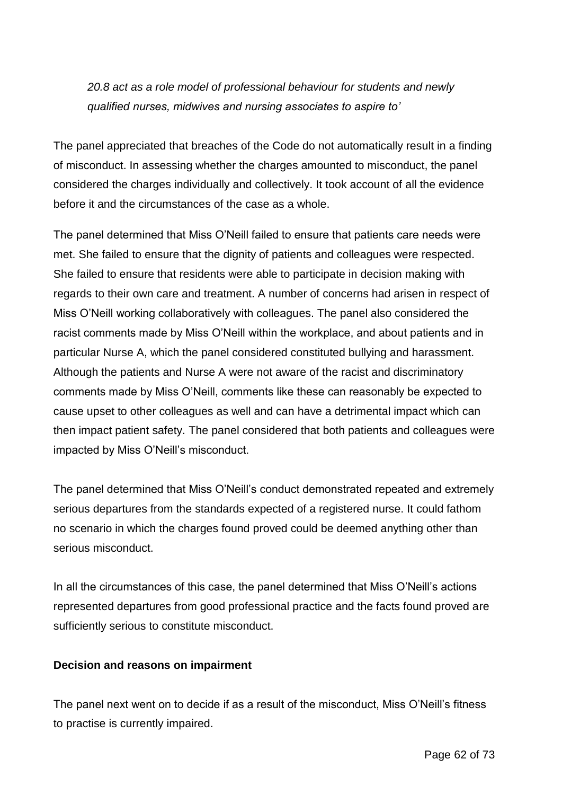# *20.8 act as a role model of professional behaviour for students and newly qualified nurses, midwives and nursing associates to aspire to'*

The panel appreciated that breaches of the Code do not automatically result in a finding of misconduct. In assessing whether the charges amounted to misconduct, the panel considered the charges individually and collectively. It took account of all the evidence before it and the circumstances of the case as a whole.

The panel determined that Miss O'Neill failed to ensure that patients care needs were met. She failed to ensure that the dignity of patients and colleagues were respected. She failed to ensure that residents were able to participate in decision making with regards to their own care and treatment. A number of concerns had arisen in respect of Miss O'Neill working collaboratively with colleagues. The panel also considered the racist comments made by Miss O'Neill within the workplace, and about patients and in particular Nurse A, which the panel considered constituted bullying and harassment. Although the patients and Nurse A were not aware of the racist and discriminatory comments made by Miss O'Neill, comments like these can reasonably be expected to cause upset to other colleagues as well and can have a detrimental impact which can then impact patient safety. The panel considered that both patients and colleagues were impacted by Miss O'Neill's misconduct.

The panel determined that Miss O'Neill's conduct demonstrated repeated and extremely serious departures from the standards expected of a registered nurse. It could fathom no scenario in which the charges found proved could be deemed anything other than serious misconduct.

In all the circumstances of this case, the panel determined that Miss O'Neill's actions represented departures from good professional practice and the facts found proved are sufficiently serious to constitute misconduct.

# **Decision and reasons on impairment**

The panel next went on to decide if as a result of the misconduct, Miss O'Neill's fitness to practise is currently impaired.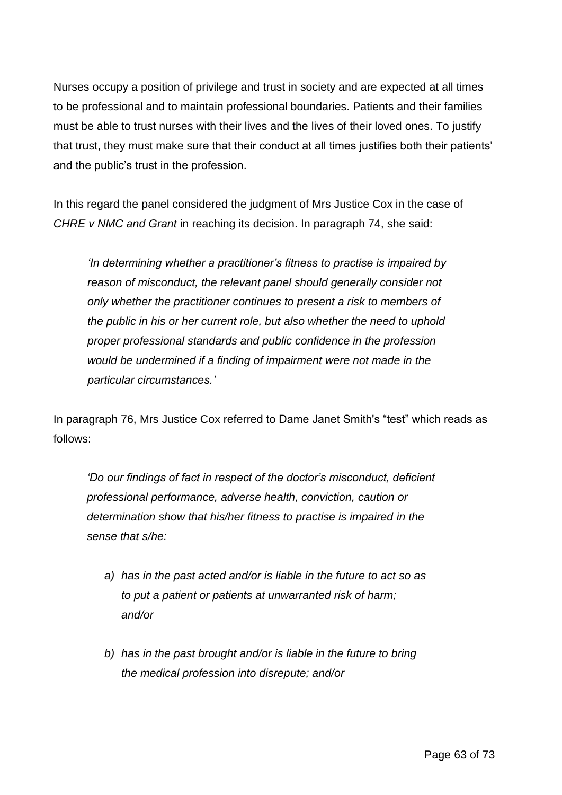Nurses occupy a position of privilege and trust in society and are expected at all times to be professional and to maintain professional boundaries. Patients and their families must be able to trust nurses with their lives and the lives of their loved ones. To justify that trust, they must make sure that their conduct at all times justifies both their patients' and the public's trust in the profession.

In this regard the panel considered the judgment of Mrs Justice Cox in the case of *CHRE v NMC and Grant* in reaching its decision. In paragraph 74, she said:

*'In determining whether a practitioner's fitness to practise is impaired by reason of misconduct, the relevant panel should generally consider not only whether the practitioner continues to present a risk to members of the public in his or her current role, but also whether the need to uphold proper professional standards and public confidence in the profession would be undermined if a finding of impairment were not made in the particular circumstances.'*

In paragraph 76, Mrs Justice Cox referred to Dame Janet Smith's "test" which reads as follows:

*'Do our findings of fact in respect of the doctor's misconduct, deficient professional performance, adverse health, conviction, caution or determination show that his/her fitness to practise is impaired in the sense that s/he:*

- *a) has in the past acted and/or is liable in the future to act so as to put a patient or patients at unwarranted risk of harm; and/or*
- *b) has in the past brought and/or is liable in the future to bring the medical profession into disrepute; and/or*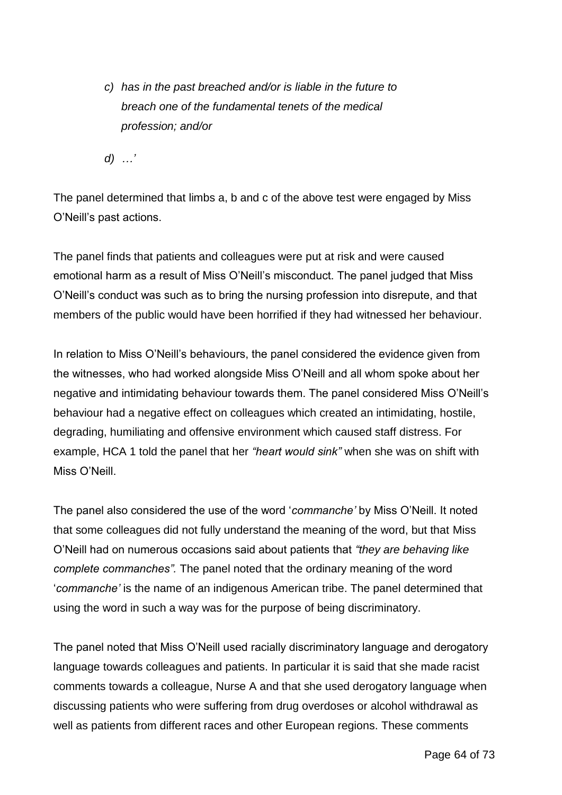*c) has in the past breached and/or is liable in the future to breach one of the fundamental tenets of the medical profession; and/or*

*d) …'*

The panel determined that limbs a, b and c of the above test were engaged by Miss O'Neill's past actions.

The panel finds that patients and colleagues were put at risk and were caused emotional harm as a result of Miss O'Neill's misconduct. The panel judged that Miss O'Neill's conduct was such as to bring the nursing profession into disrepute, and that members of the public would have been horrified if they had witnessed her behaviour.

In relation to Miss O'Neill's behaviours, the panel considered the evidence given from the witnesses, who had worked alongside Miss O'Neill and all whom spoke about her negative and intimidating behaviour towards them. The panel considered Miss O'Neill's behaviour had a negative effect on colleagues which created an intimidating, hostile, degrading, humiliating and offensive environment which caused staff distress. For example, HCA 1 told the panel that her *"heart would sink"* when she was on shift with Miss O'Neill

The panel also considered the use of the word '*commanche'* by Miss O'Neill. It noted that some colleagues did not fully understand the meaning of the word, but that Miss O'Neill had on numerous occasions said about patients that *"they are behaving like complete commanches".* The panel noted that the ordinary meaning of the word '*commanche'* is the name of an indigenous American tribe. The panel determined that using the word in such a way was for the purpose of being discriminatory.

The panel noted that Miss O'Neill used racially discriminatory language and derogatory language towards colleagues and patients. In particular it is said that she made racist comments towards a colleague, Nurse A and that she used derogatory language when discussing patients who were suffering from drug overdoses or alcohol withdrawal as well as patients from different races and other European regions. These comments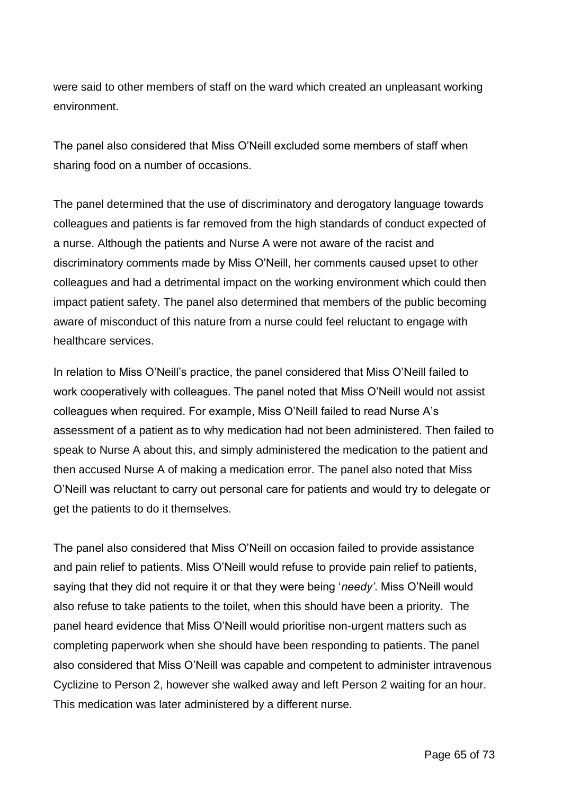were said to other members of staff on the ward which created an unpleasant working environment.

The panel also considered that Miss O'Neill excluded some members of staff when sharing food on a number of occasions.

The panel determined that the use of discriminatory and derogatory language towards colleagues and patients is far removed from the high standards of conduct expected of a nurse. Although the patients and Nurse A were not aware of the racist and discriminatory comments made by Miss O'Neill, her comments caused upset to other colleagues and had a detrimental impact on the working environment which could then impact patient safety. The panel also determined that members of the public becoming aware of misconduct of this nature from a nurse could feel reluctant to engage with healthcare services.

In relation to Miss O'Neill's practice, the panel considered that Miss O'Neill failed to work cooperatively with colleagues. The panel noted that Miss O'Neill would not assist colleagues when required. For example, Miss O'Neill failed to read Nurse A's assessment of a patient as to why medication had not been administered. Then failed to speak to Nurse A about this, and simply administered the medication to the patient and then accused Nurse A of making a medication error. The panel also noted that Miss O'Neill was reluctant to carry out personal care for patients and would try to delegate or get the patients to do it themselves.

The panel also considered that Miss O'Neill on occasion failed to provide assistance and pain relief to patients. Miss O'Neill would refuse to provide pain relief to patients, saying that they did not require it or that they were being '*needy'*. Miss O'Neill would also refuse to take patients to the toilet, when this should have been a priority. The panel heard evidence that Miss O'Neill would prioritise non-urgent matters such as completing paperwork when she should have been responding to patients. The panel also considered that Miss O'Neill was capable and competent to administer intravenous Cyclizine to Person 2, however she walked away and left Person 2 waiting for an hour. This medication was later administered by a different nurse.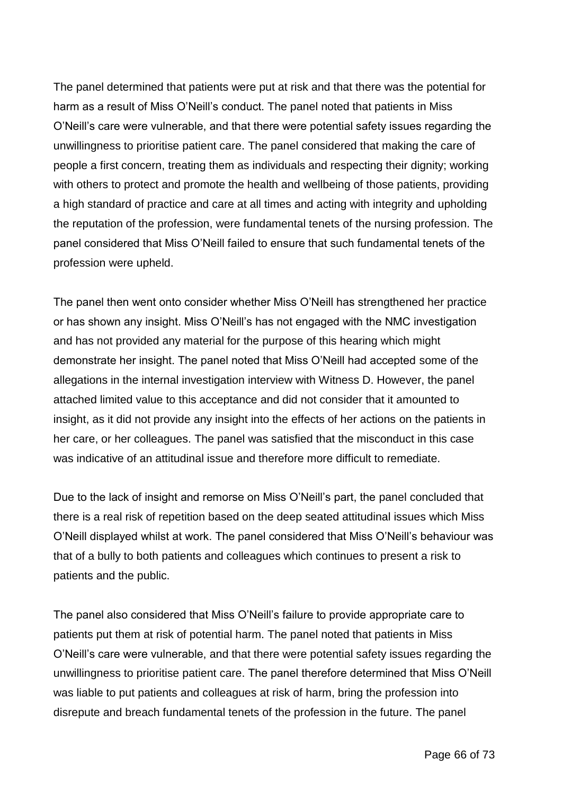The panel determined that patients were put at risk and that there was the potential for harm as a result of Miss O'Neill's conduct. The panel noted that patients in Miss O'Neill's care were vulnerable, and that there were potential safety issues regarding the unwillingness to prioritise patient care. The panel considered that making the care of people a first concern, treating them as individuals and respecting their dignity; working with others to protect and promote the health and wellbeing of those patients, providing a high standard of practice and care at all times and acting with integrity and upholding the reputation of the profession, were fundamental tenets of the nursing profession. The panel considered that Miss O'Neill failed to ensure that such fundamental tenets of the profession were upheld.

The panel then went onto consider whether Miss O'Neill has strengthened her practice or has shown any insight. Miss O'Neill's has not engaged with the NMC investigation and has not provided any material for the purpose of this hearing which might demonstrate her insight. The panel noted that Miss O'Neill had accepted some of the allegations in the internal investigation interview with Witness D. However, the panel attached limited value to this acceptance and did not consider that it amounted to insight, as it did not provide any insight into the effects of her actions on the patients in her care, or her colleagues. The panel was satisfied that the misconduct in this case was indicative of an attitudinal issue and therefore more difficult to remediate.

Due to the lack of insight and remorse on Miss O'Neill's part, the panel concluded that there is a real risk of repetition based on the deep seated attitudinal issues which Miss O'Neill displayed whilst at work. The panel considered that Miss O'Neill's behaviour was that of a bully to both patients and colleagues which continues to present a risk to patients and the public.

The panel also considered that Miss O'Neill's failure to provide appropriate care to patients put them at risk of potential harm. The panel noted that patients in Miss O'Neill's care were vulnerable, and that there were potential safety issues regarding the unwillingness to prioritise patient care. The panel therefore determined that Miss O'Neill was liable to put patients and colleagues at risk of harm, bring the profession into disrepute and breach fundamental tenets of the profession in the future. The panel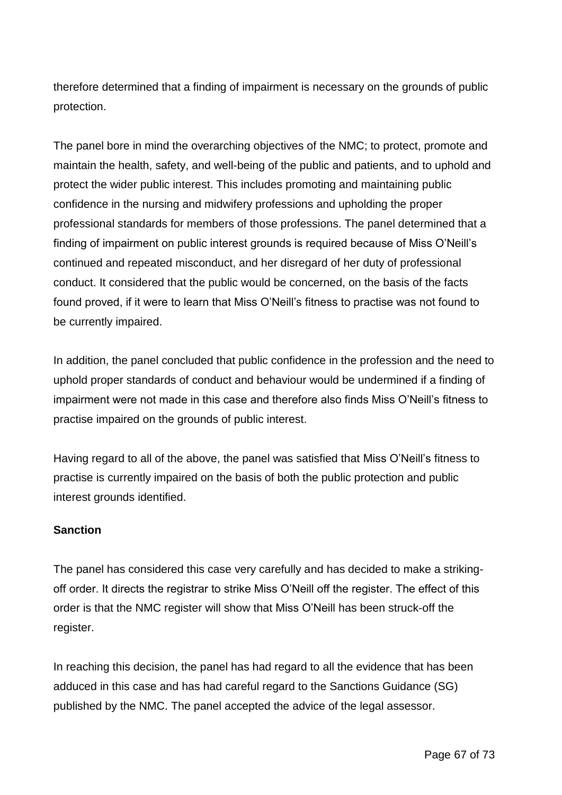therefore determined that a finding of impairment is necessary on the grounds of public protection.

The panel bore in mind the overarching objectives of the NMC; to protect, promote and maintain the health, safety, and well-being of the public and patients, and to uphold and protect the wider public interest. This includes promoting and maintaining public confidence in the nursing and midwifery professions and upholding the proper professional standards for members of those professions. The panel determined that a finding of impairment on public interest grounds is required because of Miss O'Neill's continued and repeated misconduct, and her disregard of her duty of professional conduct. It considered that the public would be concerned, on the basis of the facts found proved, if it were to learn that Miss O'Neill's fitness to practise was not found to be currently impaired.

In addition, the panel concluded that public confidence in the profession and the need to uphold proper standards of conduct and behaviour would be undermined if a finding of impairment were not made in this case and therefore also finds Miss O'Neill's fitness to practise impaired on the grounds of public interest.

Having regard to all of the above, the panel was satisfied that Miss O'Neill's fitness to practise is currently impaired on the basis of both the public protection and public interest grounds identified.

# **Sanction**

The panel has considered this case very carefully and has decided to make a strikingoff order. It directs the registrar to strike Miss O'Neill off the register. The effect of this order is that the NMC register will show that Miss O'Neill has been struck-off the register.

In reaching this decision, the panel has had regard to all the evidence that has been adduced in this case and has had careful regard to the Sanctions Guidance (SG) published by the NMC. The panel accepted the advice of the legal assessor.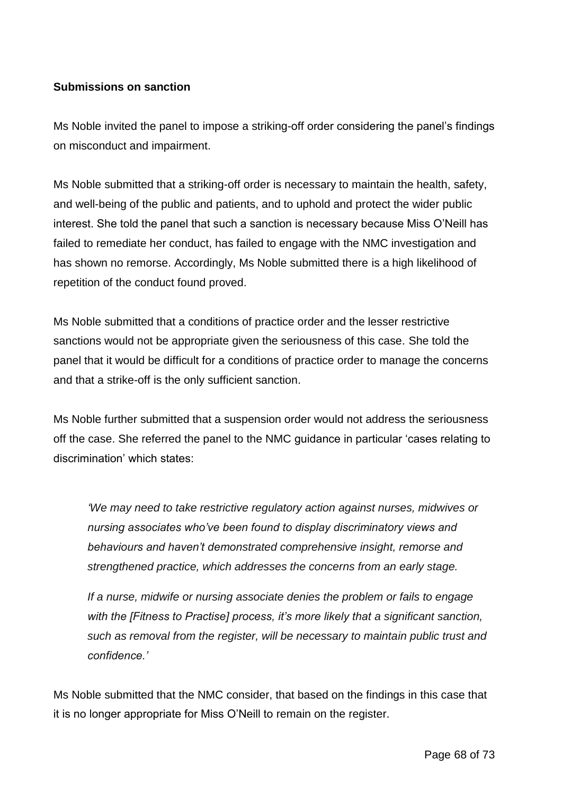## **Submissions on sanction**

Ms Noble invited the panel to impose a striking-off order considering the panel's findings on misconduct and impairment.

Ms Noble submitted that a striking-off order is necessary to maintain the health, safety, and well-being of the public and patients, and to uphold and protect the wider public interest. She told the panel that such a sanction is necessary because Miss O'Neill has failed to remediate her conduct, has failed to engage with the NMC investigation and has shown no remorse. Accordingly, Ms Noble submitted there is a high likelihood of repetition of the conduct found proved.

Ms Noble submitted that a conditions of practice order and the lesser restrictive sanctions would not be appropriate given the seriousness of this case. She told the panel that it would be difficult for a conditions of practice order to manage the concerns and that a strike-off is the only sufficient sanction.

Ms Noble further submitted that a suspension order would not address the seriousness off the case. She referred the panel to the NMC guidance in particular 'cases relating to discrimination' which states:

*'We may need to take restrictive regulatory action against nurses, midwives or nursing associates who've been found to display discriminatory views and behaviours and haven't demonstrated comprehensive insight, remorse and strengthened practice, which addresses the concerns from an early stage.*

*If a nurse, midwife or nursing associate denies the problem or fails to engage with the [Fitness to Practise] process, it's more likely that a significant sanction, such as removal from the register, will be necessary to maintain public trust and confidence.'*

Ms Noble submitted that the NMC consider, that based on the findings in this case that it is no longer appropriate for Miss O'Neill to remain on the register.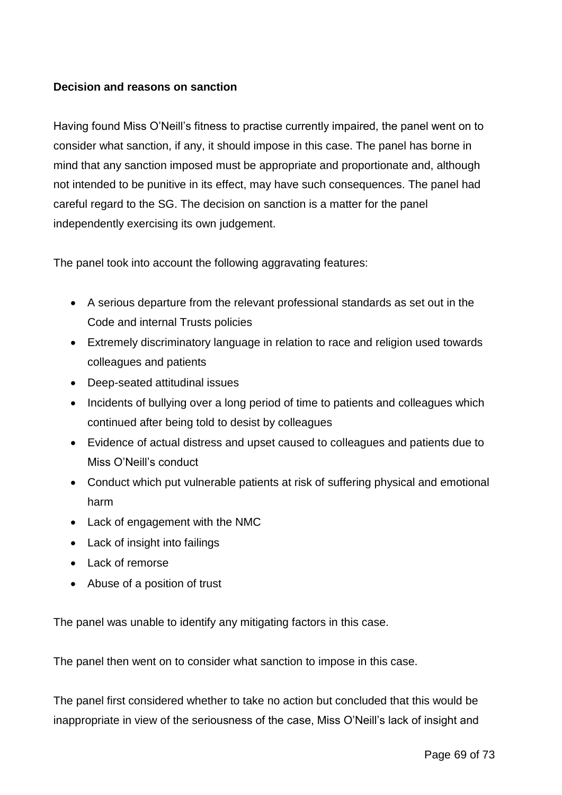## **Decision and reasons on sanction**

Having found Miss O'Neill's fitness to practise currently impaired, the panel went on to consider what sanction, if any, it should impose in this case. The panel has borne in mind that any sanction imposed must be appropriate and proportionate and, although not intended to be punitive in its effect, may have such consequences. The panel had careful regard to the SG. The decision on sanction is a matter for the panel independently exercising its own judgement.

The panel took into account the following aggravating features:

- A serious departure from the relevant professional standards as set out in the Code and internal Trusts policies
- Extremely discriminatory language in relation to race and religion used towards colleagues and patients
- Deep-seated attitudinal issues
- Incidents of bullying over a long period of time to patients and colleagues which continued after being told to desist by colleagues
- Evidence of actual distress and upset caused to colleagues and patients due to Miss O'Neill's conduct
- Conduct which put vulnerable patients at risk of suffering physical and emotional harm
- Lack of engagement with the NMC
- Lack of insight into failings
- Lack of remorse
- Abuse of a position of trust

The panel was unable to identify any mitigating factors in this case.

The panel then went on to consider what sanction to impose in this case.

The panel first considered whether to take no action but concluded that this would be inappropriate in view of the seriousness of the case, Miss O'Neill's lack of insight and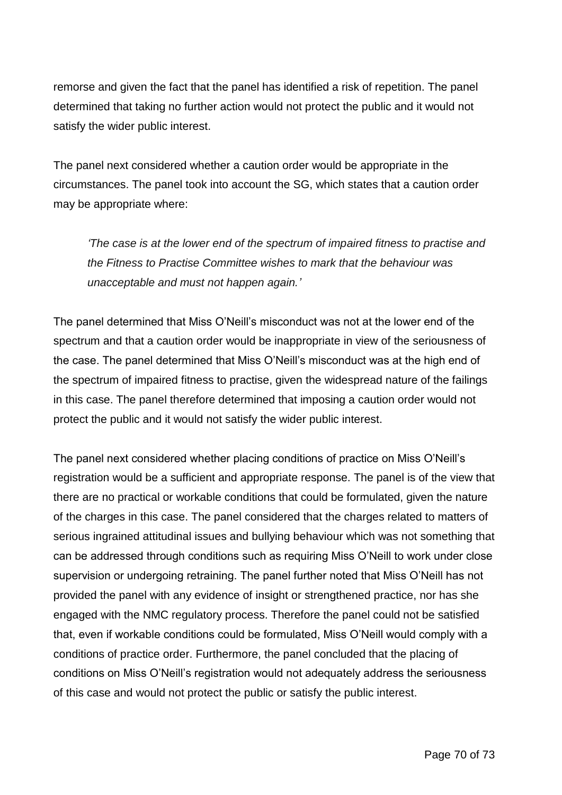remorse and given the fact that the panel has identified a risk of repetition. The panel determined that taking no further action would not protect the public and it would not satisfy the wider public interest.

The panel next considered whether a caution order would be appropriate in the circumstances. The panel took into account the SG, which states that a caution order may be appropriate where:

*'The case is at the lower end of the spectrum of impaired fitness to practise and the Fitness to Practise Committee wishes to mark that the behaviour was unacceptable and must not happen again.'*

The panel determined that Miss O'Neill's misconduct was not at the lower end of the spectrum and that a caution order would be inappropriate in view of the seriousness of the case. The panel determined that Miss O'Neill's misconduct was at the high end of the spectrum of impaired fitness to practise, given the widespread nature of the failings in this case. The panel therefore determined that imposing a caution order would not protect the public and it would not satisfy the wider public interest.

The panel next considered whether placing conditions of practice on Miss O'Neill's registration would be a sufficient and appropriate response. The panel is of the view that there are no practical or workable conditions that could be formulated, given the nature of the charges in this case. The panel considered that the charges related to matters of serious ingrained attitudinal issues and bullying behaviour which was not something that can be addressed through conditions such as requiring Miss O'Neill to work under close supervision or undergoing retraining. The panel further noted that Miss O'Neill has not provided the panel with any evidence of insight or strengthened practice, nor has she engaged with the NMC regulatory process. Therefore the panel could not be satisfied that, even if workable conditions could be formulated, Miss O'Neill would comply with a conditions of practice order. Furthermore, the panel concluded that the placing of conditions on Miss O'Neill's registration would not adequately address the seriousness of this case and would not protect the public or satisfy the public interest.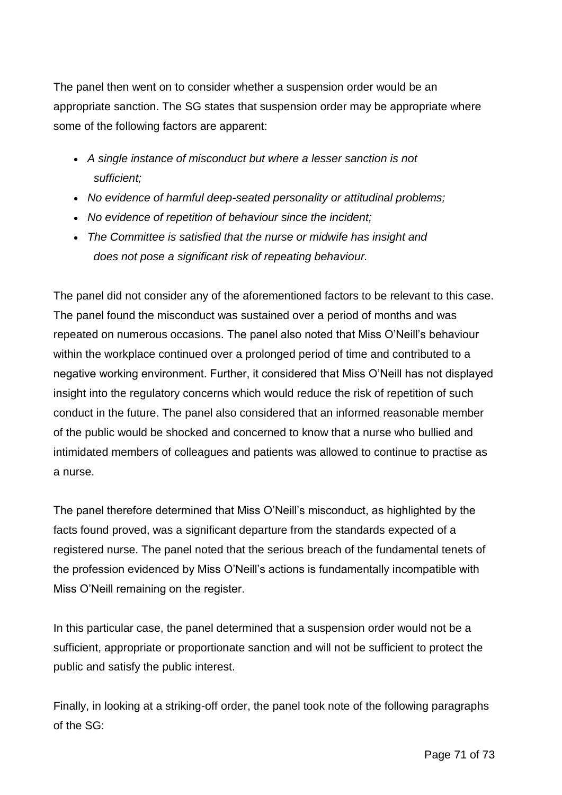The panel then went on to consider whether a suspension order would be an appropriate sanction. The SG states that suspension order may be appropriate where some of the following factors are apparent:

- *A single instance of misconduct but where a lesser sanction is not sufficient;*
- *No evidence of harmful deep-seated personality or attitudinal problems;*
- *No evidence of repetition of behaviour since the incident;*
- *The Committee is satisfied that the nurse or midwife has insight and does not pose a significant risk of repeating behaviour.*

The panel did not consider any of the aforementioned factors to be relevant to this case. The panel found the misconduct was sustained over a period of months and was repeated on numerous occasions. The panel also noted that Miss O'Neill's behaviour within the workplace continued over a prolonged period of time and contributed to a negative working environment. Further, it considered that Miss O'Neill has not displayed insight into the regulatory concerns which would reduce the risk of repetition of such conduct in the future. The panel also considered that an informed reasonable member of the public would be shocked and concerned to know that a nurse who bullied and intimidated members of colleagues and patients was allowed to continue to practise as a nurse.

The panel therefore determined that Miss O'Neill's misconduct, as highlighted by the facts found proved, was a significant departure from the standards expected of a registered nurse. The panel noted that the serious breach of the fundamental tenets of the profession evidenced by Miss O'Neill's actions is fundamentally incompatible with Miss O'Neill remaining on the register.

In this particular case, the panel determined that a suspension order would not be a sufficient, appropriate or proportionate sanction and will not be sufficient to protect the public and satisfy the public interest.

Finally, in looking at a striking-off order, the panel took note of the following paragraphs of the SG: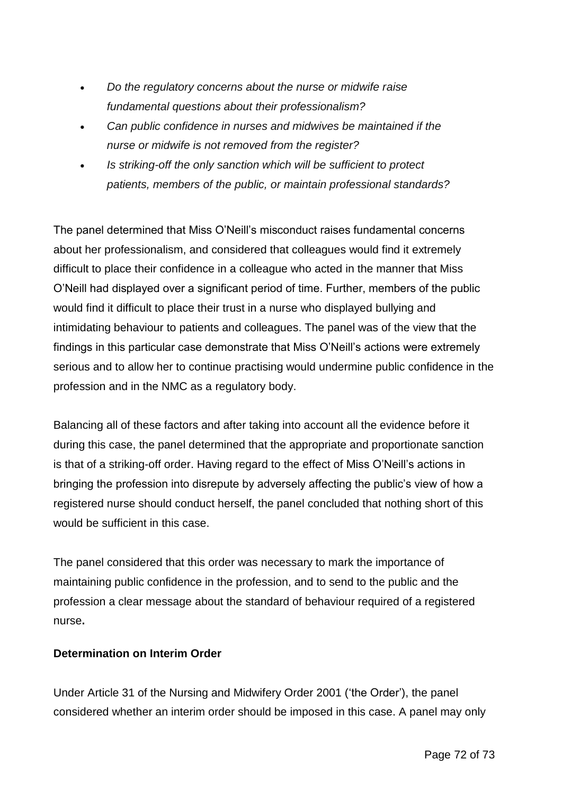- *Do the regulatory concerns about the nurse or midwife raise fundamental questions about their professionalism?*
- *Can public confidence in nurses and midwives be maintained if the nurse or midwife is not removed from the register?*
- *Is striking-off the only sanction which will be sufficient to protect patients, members of the public, or maintain professional standards?*

The panel determined that Miss O'Neill's misconduct raises fundamental concerns about her professionalism, and considered that colleagues would find it extremely difficult to place their confidence in a colleague who acted in the manner that Miss O'Neill had displayed over a significant period of time. Further, members of the public would find it difficult to place their trust in a nurse who displayed bullying and intimidating behaviour to patients and colleagues. The panel was of the view that the findings in this particular case demonstrate that Miss O'Neill's actions were extremely serious and to allow her to continue practising would undermine public confidence in the profession and in the NMC as a regulatory body.

Balancing all of these factors and after taking into account all the evidence before it during this case, the panel determined that the appropriate and proportionate sanction is that of a striking-off order. Having regard to the effect of Miss O'Neill's actions in bringing the profession into disrepute by adversely affecting the public's view of how a registered nurse should conduct herself, the panel concluded that nothing short of this would be sufficient in this case.

The panel considered that this order was necessary to mark the importance of maintaining public confidence in the profession, and to send to the public and the profession a clear message about the standard of behaviour required of a registered nurse**.**

# **Determination on Interim Order**

Under Article 31 of the Nursing and Midwifery Order 2001 ('the Order'), the panel considered whether an interim order should be imposed in this case. A panel may only